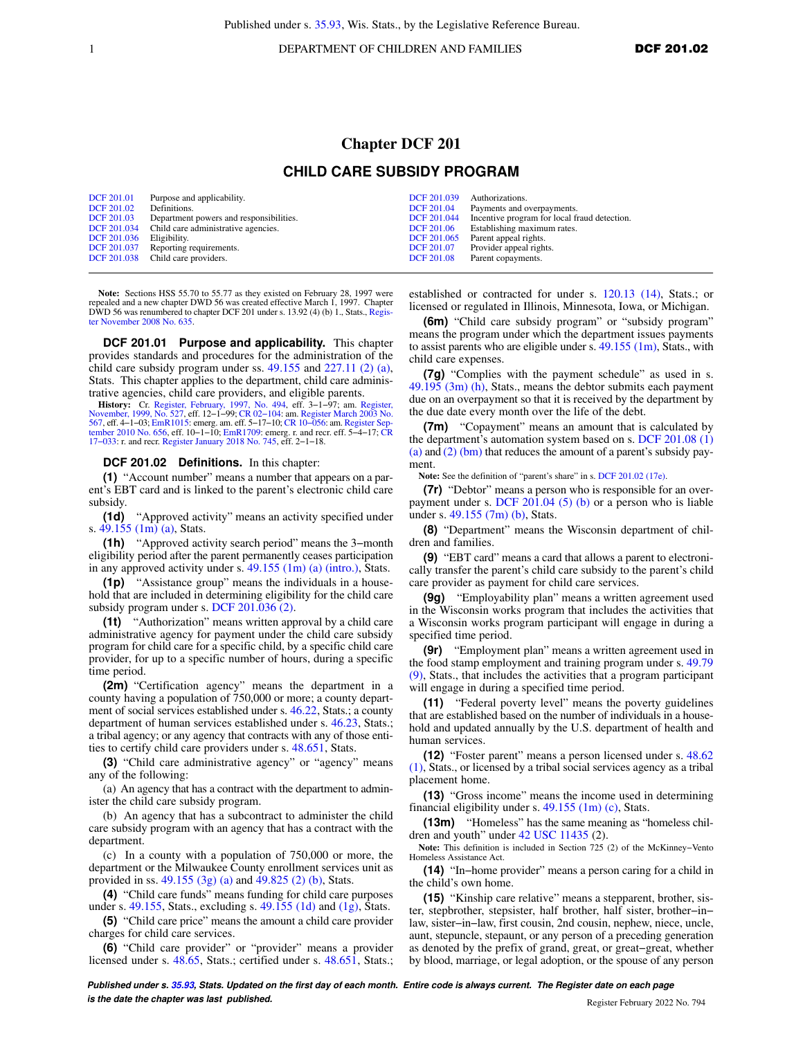1 **DEPARTMENT OF CHILDREN AND FAMILIES DCF 201.02** 

## **Chapter DCF 201 CHILD CARE SUBSIDY PROGRAM**

| <b>DCF 201.01</b><br><b>DCF 201.02</b><br><b>DCF 201.03</b><br>DCF 201.036 | Purpose and applicability.<br>Definitions.<br>Department powers and responsibilities.<br>DCF 201.034 Child care administrative agencies.<br>Eligibility.<br>DCF 201.037 Reporting requirements. | DCF 201.039<br><b>DCF 201.04</b><br>DCF 201.06<br>DCF 201.065<br><b>DCF 201.07</b> | Authorizations.<br>Payments and overpayments.<br>DCF 201.044 Incentive program for local fraud detection.<br>Establishing maximum rates.<br>Parent appeal rights.<br>Provider appeal rights. |
|----------------------------------------------------------------------------|-------------------------------------------------------------------------------------------------------------------------------------------------------------------------------------------------|------------------------------------------------------------------------------------|----------------------------------------------------------------------------------------------------------------------------------------------------------------------------------------------|
|                                                                            | DCF 201.038 Child care providers.                                                                                                                                                               | <b>DCF 201.08</b>                                                                  | Parent copayments.                                                                                                                                                                           |

**Note:** Sections HSS 55.70 to 55.77 as they existed on February 28, 1997 were repealed and a new chapter DWD 56 was created effective March 1, 1997. Chapter DWD 56 was renumbered to chapter DCF 201 under s. 13.92 (4) (b) 1., Stats., [Regis](https://docs-preview.legis.wisconsin.gov/document/register/635/B/toc)[ter November 2008 No. 635.](https://docs-preview.legis.wisconsin.gov/document/register/635/B/toc)

**DCF 201.01 Purpose and applicability.** This chapter provides standards and procedures for the administration of the child care subsidy program under ss. [49.155](https://docs-preview.legis.wisconsin.gov/document/statutes/49.155) and [227.11 \(2\) \(a\),](https://docs-preview.legis.wisconsin.gov/document/statutes/227.11(2)(a)) Stats. This chapter applies to the department, child care administrative agencies, child care providers, and eligible parents.

**History:** Cr. [Register, February, 1997, No. 494](https://docs-preview.legis.wisconsin.gov/document/register/494/B/toc), eff. 3−1−97; am. [Register,](https://docs-preview.legis.wisconsin.gov/document/register/527/B/toc) [November, 1999, No. 527](https://docs-preview.legis.wisconsin.gov/document/register/527/B/toc), eff. 12−1−99; [CR 02−104](https://docs-preview.legis.wisconsin.gov/document/cr/2002/104): am. [Register March 2003 No.](https://docs-preview.legis.wisconsin.gov/document/register/567/B/toc) [567](https://docs-preview.legis.wisconsin.gov/document/register/567/B/toc), eff. 4–1–03; [EmR1015](https://docs-preview.legis.wisconsin.gov/document/emergencyrules/EmR1015): emerg. am. eff. 5–17–10; CR 10–056: am. Register Sep-<br>[tember 2010 No. 656](https://docs-preview.legis.wisconsin.gov/document/register/656/B/toc), eff. 10–1–10; [EmR1709:](https://docs-preview.legis.wisconsin.gov/document/emergencyrules/EmR1709) emerg. r. and recr. eff. 5–4–17; [CR](https://docs-preview.legis.wisconsin.gov/document/cr/2017/33)<br>17–033: r. and recr. [Register January 2018 No. 745,](https://docs-preview.legis.wisconsin.gov/document/register/745/B/toc) eff. 2–1–

## **DCF 201.02 Definitions.** In this chapter:

**(1)** "Account number" means a number that appears on a parent's EBT card and is linked to the parent's electronic child care subsidy.

**(1d)** "Approved activity" means an activity specified under s. [49.155 \(1m\) \(a\),](https://docs-preview.legis.wisconsin.gov/document/statutes/49.155(1m)(a)) Stats.

**(1h)** "Approved activity search period" means the 3−month eligibility period after the parent permanently ceases participation in any approved activity under s. [49.155 \(1m\) \(a\) \(intro.\)](https://docs-preview.legis.wisconsin.gov/document/statutes/49.155(1m)(a)(intro.)), Stats.

**(1p)** "Assistance group" means the individuals in a household that are included in determining eligibility for the child care subsidy program under s. [DCF 201.036 \(2\).](https://docs-preview.legis.wisconsin.gov/document/administrativecode/DCF%20201.036(2))

**(1t)** "Authorization" means written approval by a child care administrative agency for payment under the child care subsidy program for child care for a specific child, by a specific child care provider, for up to a specific number of hours, during a specific time period.

**(2m)** "Certification agency" means the department in a county having a population of 750,000 or more; a county department of social services established under s. [46.22,](https://docs-preview.legis.wisconsin.gov/document/statutes/46.22) Stats.; a county department of human services established under s. [46.23](https://docs-preview.legis.wisconsin.gov/document/statutes/46.23), Stats.; a tribal agency; or any agency that contracts with any of those entities to certify child care providers under s. [48.651,](https://docs-preview.legis.wisconsin.gov/document/statutes/48.651) Stats.

**(3)** "Child care administrative agency" or "agency" means any of the following:

(a) An agency that has a contract with the department to administer the child care subsidy program.

(b) An agency that has a subcontract to administer the child care subsidy program with an agency that has a contract with the department.

(c) In a county with a population of 750,000 or more, the department or the Milwaukee County enrollment services unit as provided in ss. [49.155 \(3g\) \(a\)](https://docs-preview.legis.wisconsin.gov/document/statutes/49.155(3g)(a)) and [49.825 \(2\) \(b\),](https://docs-preview.legis.wisconsin.gov/document/statutes/49.825(2)(b)) Stats.

**(4)** "Child care funds" means funding for child care purposes under s. [49.155,](https://docs-preview.legis.wisconsin.gov/document/statutes/49.155) Stats., excluding s. [49.155 \(1d\)](https://docs-preview.legis.wisconsin.gov/document/statutes/49.155(1d)) and  $(1g)$ , Stats.

**(5)** "Child care price" means the amount a child care provider charges for child care services.

**(6)** "Child care provider" or "provider" means a provider licensed under s. [48.65,](https://docs-preview.legis.wisconsin.gov/document/statutes/48.65) Stats.; certified under s. [48.651,](https://docs-preview.legis.wisconsin.gov/document/statutes/48.651) Stats.;

established or contracted for under s. [120.13 \(14\),](https://docs-preview.legis.wisconsin.gov/document/statutes/120.13(14)) Stats.; or licensed or regulated in Illinois, Minnesota, Iowa, or Michigan.

**(6m)** "Child care subsidy program" or "subsidy program" means the program under which the department issues payments to assist parents who are eligible under s.  $49.155$  (1m), Stats., with child care expenses.

**(7g)** "Complies with the payment schedule" as used in s. [49.195 \(3m\) \(h\),](https://docs-preview.legis.wisconsin.gov/document/statutes/49.195(3m)(h)) Stats., means the debtor submits each payment due on an overpayment so that it is received by the department by the due date every month over the life of the debt.

**(7m)** "Copayment" means an amount that is calculated by the department's automation system based on s. [DCF 201.08 \(1\)](https://docs-preview.legis.wisconsin.gov/document/administrativecode/DCF%20201.08(1)(a)) [\(a\)](https://docs-preview.legis.wisconsin.gov/document/administrativecode/DCF%20201.08(1)(a)) and [\(2\) \(bm\)](https://docs-preview.legis.wisconsin.gov/document/administrativecode/DCF%20201.08(2)(bm)) that reduces the amount of a parent's subsidy payment.

**Note:** See the definition of "parent's share" in s. [DCF 201.02 \(17e\)](https://docs-preview.legis.wisconsin.gov/document/administrativecode/DCF%20201.02(17e)).

**(7r)** "Debtor" means a person who is responsible for an overpayment under s. DCF  $201.04$  (5) (b) or a person who is liable under s. [49.155 \(7m\) \(b\),](https://docs-preview.legis.wisconsin.gov/document/statutes/49.155(7m)(b)) Stats.

**(8)** "Department" means the Wisconsin department of children and families.

**(9)** "EBT card" means a card that allows a parent to electronically transfer the parent's child care subsidy to the parent's child care provider as payment for child care services.

**(9g)** "Employability plan" means a written agreement used in the Wisconsin works program that includes the activities that a Wisconsin works program participant will engage in during a specified time period.

**(9r)** "Employment plan" means a written agreement used in the food stamp employment and training program under s. [49.79](https://docs-preview.legis.wisconsin.gov/document/statutes/49.79(9)) [\(9\),](https://docs-preview.legis.wisconsin.gov/document/statutes/49.79(9)) Stats., that includes the activities that a program participant will engage in during a specified time period.

**(11)** "Federal poverty level" means the poverty guidelines that are established based on the number of individuals in a household and updated annually by the U.S. department of health and human services.

**(12)** "Foster parent" means a person licensed under s. [48.62](https://docs-preview.legis.wisconsin.gov/document/statutes/48.62(1)) [\(1\),](https://docs-preview.legis.wisconsin.gov/document/statutes/48.62(1)) Stats., or licensed by a tribal social services agency as a tribal placement home.

**(13)** "Gross income" means the income used in determining financial eligibility under s. [49.155 \(1m\) \(c\)](https://docs-preview.legis.wisconsin.gov/document/statutes/49.155(1m)(c)), Stats.

**(13m)** "Homeless" has the same meaning as "homeless chil-dren and youth" under [42 USC 11435](https://docs-preview.legis.wisconsin.gov/document/usc/42%20USC%2011435) (2).

**Note:** This definition is included in Section 725 (2) of the McKinney−Vento Homeless Assistance Act.

**(14)** "In−home provider" means a person caring for a child in the child's own home.

**(15)** "Kinship care relative" means a stepparent, brother, sister, stepbrother, stepsister, half brother, half sister, brother−in− law, sister−in−law, first cousin, 2nd cousin, nephew, niece, uncle, aunt, stepuncle, stepaunt, or any person of a preceding generation as denoted by the prefix of grand, great, or great−great, whether by blood, marriage, or legal adoption, or the spouse of any person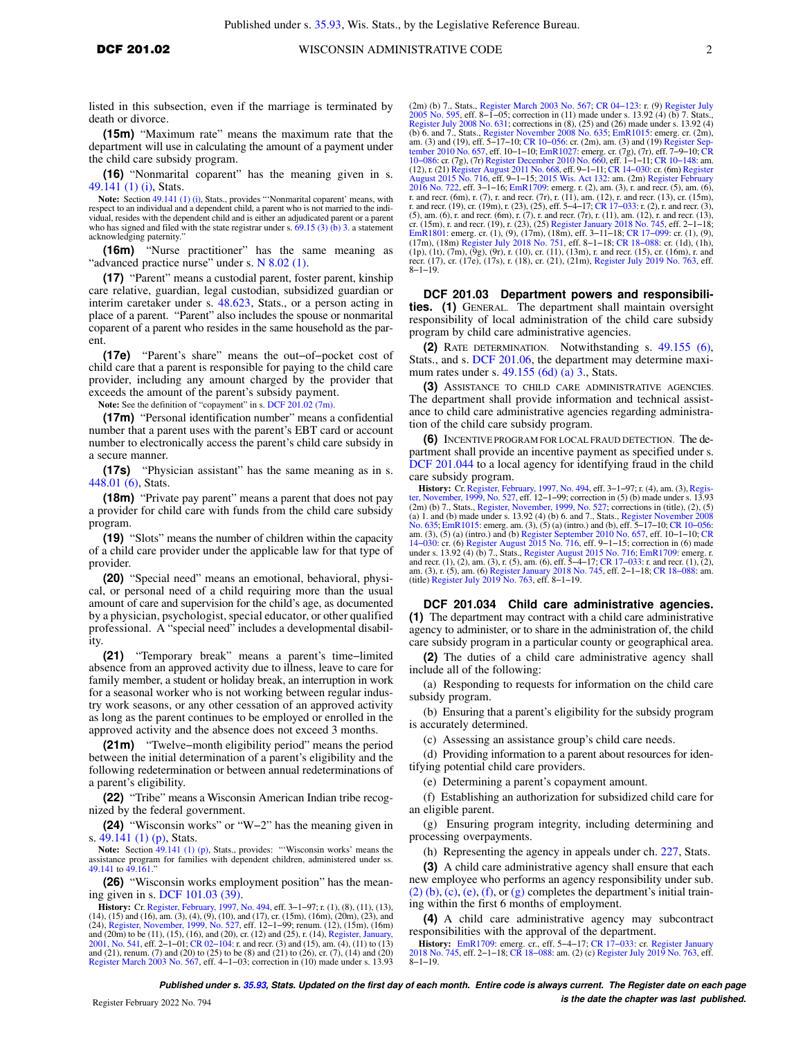listed in this subsection, even if the marriage is terminated by death or divorce.

**(15m)** "Maximum rate" means the maximum rate that the department will use in calculating the amount of a payment under the child care subsidy program.

**(16)** "Nonmarital coparent" has the meaning given in s. [49.141 \(1\) \(i\)](https://docs-preview.legis.wisconsin.gov/document/statutes/49.141(1)(i)), Stats.

**Note:** Section [49.141 \(1\) \(i\)](https://docs-preview.legis.wisconsin.gov/document/statutes/49.141(1)(i)), Stats., provides "'Nonmarital coparent' means, with respect to an individual and a dependent child, a parent who is not married to the individual, resides with the dependent child and is either an adjudicated parent or a parent who has signed and filed with the state registrar under s. [69.15 \(3\) \(b\) 3.](https://docs-preview.legis.wisconsin.gov/document/statutes/69.15(3)(b)3.) a statement acknowledging paternity."

**(16m)** "Nurse practitioner" has the same meaning as "advanced practice nurse" under s. [N 8.02 \(1\).](https://docs-preview.legis.wisconsin.gov/document/administrativecode/N%208.02(1))

**(17)** "Parent" means a custodial parent, foster parent, kinship care relative, guardian, legal custodian, subsidized guardian or interim caretaker under s. [48.623](https://docs-preview.legis.wisconsin.gov/document/statutes/48.623), Stats., or a person acting in place of a parent. "Parent" also includes the spouse or nonmarital coparent of a parent who resides in the same household as the parent.

**(17e)** "Parent's share" means the out−of−pocket cost of child care that a parent is responsible for paying to the child care provider, including any amount charged by the provider that exceeds the amount of the parent's subsidy payment.

**Note:** See the definition of "copayment" in s. [DCF 201.02 \(7m\).](https://docs-preview.legis.wisconsin.gov/document/administrativecode/DCF%20201.02(7m))

**(17m)** "Personal identification number" means a confidential number that a parent uses with the parent's EBT card or account number to electronically access the parent's child care subsidy in a secure manner.

**(17s)** "Physician assistant" has the same meaning as in s. [448.01 \(6\),](https://docs-preview.legis.wisconsin.gov/document/statutes/448.01(6)) Stats.

**(18m)** "Private pay parent" means a parent that does not pay a provider for child care with funds from the child care subsidy program.

**(19)** "Slots" means the number of children within the capacity of a child care provider under the applicable law for that type of provider.

**(20)** "Special need" means an emotional, behavioral, physical, or personal need of a child requiring more than the usual amount of care and supervision for the child's age, as documented by a physician, psychologist, special educator, or other qualified professional. A "special need" includes a developmental disability.

**(21)** "Temporary break" means a parent's time−limited absence from an approved activity due to illness, leave to care for family member, a student or holiday break, an interruption in work for a seasonal worker who is not working between regular industry work seasons, or any other cessation of an approved activity as long as the parent continues to be employed or enrolled in the approved activity and the absence does not exceed 3 months.

**(21m)** "Twelve−month eligibility period" means the period between the initial determination of a parent's eligibility and the following redetermination or between annual redeterminations of a parent's eligibility.

**(22)** "Tribe" means a Wisconsin American Indian tribe recognized by the federal government.

**(24)** "Wisconsin works" or "W−2" has the meaning given in s. [49.141 \(1\) \(p\)](https://docs-preview.legis.wisconsin.gov/document/statutes/49.141(1)(p)), Stats.

**Note:** Section [49.141 \(1\) \(p\),](https://docs-preview.legis.wisconsin.gov/document/statutes/49.141(1)(p)) Stats., provides: "'Wisconsin works' means the assistance program for families with dependent children, administered under ss. [49.141](https://docs-preview.legis.wisconsin.gov/document/statutes/49.141) to [49.161](https://docs-preview.legis.wisconsin.gov/document/statutes/49.161)."

**(26)** "Wisconsin works employment position" has the meaning given in s. [DCF 101.03 \(39\)](https://docs-preview.legis.wisconsin.gov/document/administrativecode/DCF%20101.03(39)).

**History:** Cr. [Register, February, 1997, No. 494,](https://docs-preview.legis.wisconsin.gov/document/register/494/B/toc) eff. 3−1−97; r. (1), (8), (11), (13), (14), (15) and (16), am. (3), (4), (9), (10), and (17), cr. (15m), (16m), (20m), (23), and (24), [Register, November, 1999, No. 527](https://docs-preview.legis.wisconsin.gov/document/register/527/B/toc), eff. 12–1–99; renum. (12), (15m), (16m)<br>and (20m) to be (11), (15), (16), and (20), cr. (12) and (25), r. (14), [Register, January,](https://docs-preview.legis.wisconsin.gov/document/register/541/B/toc)<br>[2001, No. 541](https://docs-preview.legis.wisconsin.gov/document/register/541/B/toc), eff. 2–1–01; CR 02–104: r. and recr [Register March 2003 No. 567,](https://docs-preview.legis.wisconsin.gov/document/register/567/B/toc) eff. 4−1−03; correction in (10) made under s. 13.93 (2m) (b) 7., Stats., [Register March 2003 No. 567;](https://docs-preview.legis.wisconsin.gov/document/register/567/B/toc) [CR 04−123](https://docs-preview.legis.wisconsin.gov/document/cr/2004/123): r. (9) [Register July](https://docs-preview.legis.wisconsin.gov/document/register/595/B/toc) 2005 No. 595, eff. 8–1–05; correction in (11) made under s. 13.92 (4) (b) 7. Stats., [2005 No. 595,](https://docs-preview.legis.wisconsin.gov/document/register/595/B/toc) eff. 8–1–05; correction in (11) made under s. 13.92 (4) (b) 7. Stats., [Register](https://docs-preview.legis.wisconsin.gov/document/register/716/B/toc) July 2008 No. 635; corrections in (8), (25) and (26) made under s. 13.92 (4) (b) 6. and 7, Stats, Register November 2008 No. 63 recr. (17), cr. (17e), (17s), r. (18), cr. (21), (21m), Register July 2019 No. 763, eff. 8–1–19.

**DCF 201.03 Department powers and responsibilities. (1)** GENERAL. The department shall maintain oversight responsibility of local administration of the child care subsidy program by child care administrative agencies.

**(2)** RATE DETERMINATION. Notwithstanding s. [49.155 \(6\),](https://docs-preview.legis.wisconsin.gov/document/statutes/49.155(6)) Stats., and s. [DCF 201.06](https://docs-preview.legis.wisconsin.gov/document/administrativecode/DCF%20201.06), the department may determine maximum rates under s. [49.155 \(6d\) \(a\) 3.,](https://docs-preview.legis.wisconsin.gov/document/statutes/49.155(6d)(a)3.) Stats.

**(3)** ASSISTANCE TO CHILD CARE ADMINISTRATIVE AGENCIES. The department shall provide information and technical assistance to child care administrative agencies regarding administration of the child care subsidy program.

**(6)** INCENTIVE PROGRAM FOR LOCAL FRAUD DETECTION. The department shall provide an incentive payment as specified under s. [DCF 201.044](https://docs-preview.legis.wisconsin.gov/document/administrativecode/DCF%20201.044) to a local agency for identifying fraud in the child care subsidy program.

**History:** Cr. [Register, February, 1997, No. 494](https://docs-preview.legis.wisconsin.gov/document/register/494/B/toc), eff. 3–1–97; r. (4), am. (3), [Regis](https://docs-preview.legis.wisconsin.gov/document/register/527/B/toc)[ter, November, 1999, No. 527](https://docs-preview.legis.wisconsin.gov/document/register/527/B/toc), eff. 12–1–99; correction in (5) (b) made under s. 13.93<br>(2m) (b) 7., Stats, [Register, November, 1999, No. 527;](https://docs-preview.legis.wisconsin.gov/document/register/527/B/toc) corrections in (itite), (2), (5)<br>(a) 1. and (b) made under s. 13.92 (4) (b) 6. a am. (3), (5) (a) (intro.) and (b) [Register September 2010 No. 657](https://docs-preview.legis.wisconsin.gov/document/register/657/B/toc), eff. 10-1-10; [CR](https://docs-preview.legis.wisconsin.gov/document/cr/2014/30)<br>14-030: cr. (6) [Register August 2015 No. 716,](https://docs-preview.legis.wisconsin.gov/document/register/716/B/toc) eff. 9-1-15; correction in (6) made<br>under s. 13.92 (4) (b) 7., Stats., Register August 2015

**DCF 201.034 Child care administrative agencies. (1)** The department may contract with a child care administrative agency to administer, or to share in the administration of, the child care subsidy program in a particular county or geographical area.

**(2)** The duties of a child care administrative agency shall include all of the following:

(a) Responding to requests for information on the child care subsidy program.

(b) Ensuring that a parent's eligibility for the subsidy program is accurately determined.

(c) Assessing an assistance group's child care needs.

(d) Providing information to a parent about resources for identifying potential child care providers.

(e) Determining a parent's copayment amount.

(f) Establishing an authorization for subsidized child care for an eligible parent.

(g) Ensuring program integrity, including determining and processing overpayments.

(h) Representing the agency in appeals under ch. [227,](https://docs-preview.legis.wisconsin.gov/document/statutes/ch.%20227) Stats.

**(3)** A child care administrative agency shall ensure that each new employee who performs an agency responsibility under sub.  $(2)$  (b),  $(c)$ ,  $(e)$ ,  $(f)$ , or  $(g)$  completes the department's initial training within the first 6 months of employment.

**(4)** A child care administrative agency may subcontract responsibilities with the approval of the department.

**History:** [EmR1709](https://docs-preview.legis.wisconsin.gov/document/emergencyrules/EmR1709): emerg. cr., eff. 5−4−17; [CR 17−033:](https://docs-preview.legis.wisconsin.gov/document/cr/2017/33) cr. [Register January](https://docs-preview.legis.wisconsin.gov/document/register/745/B/toc) [2018 No. 745](https://docs-preview.legis.wisconsin.gov/document/register/745/B/toc), eff. 2−1−18; [CR 18−088](https://docs-preview.legis.wisconsin.gov/document/cr/2018/88): am. (2) (c) [Register July 2019 No. 763,](https://docs-preview.legis.wisconsin.gov/document/register/763/B/toc) eff. 8−1−19.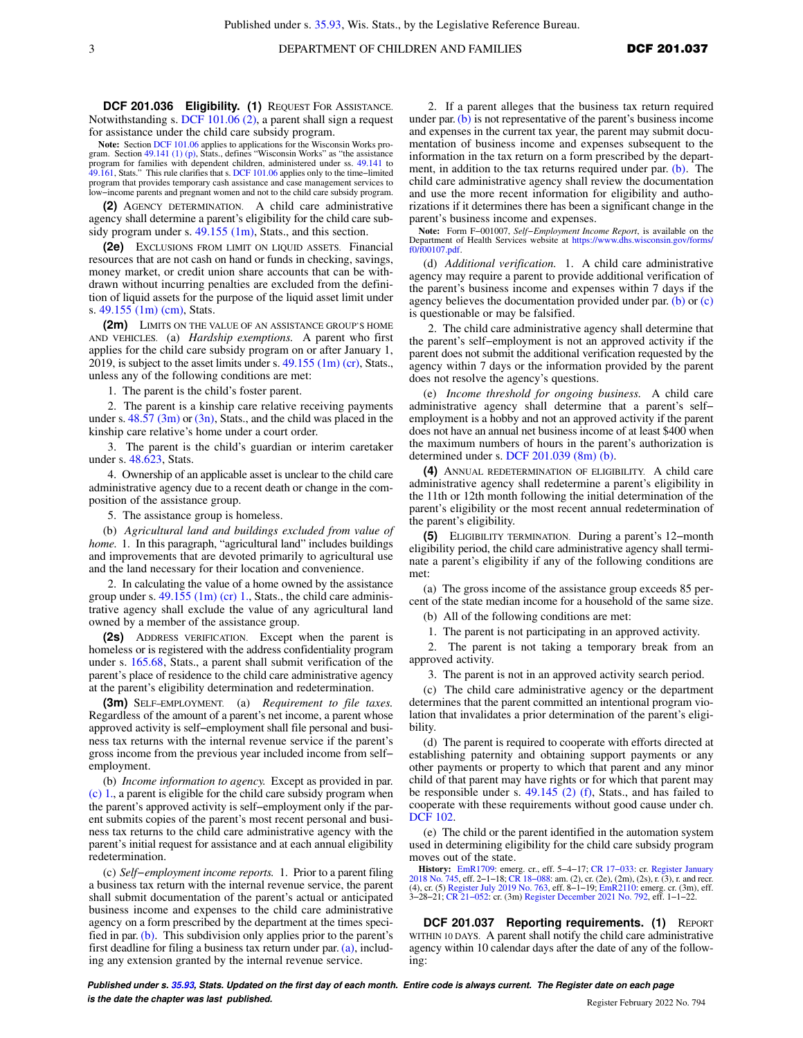**Note:** Section [DCF 101.06](https://docs-preview.legis.wisconsin.gov/document/administrativecode/DCF%20101.06) applies to applications for the Wisconsin Works program. Section [49.141 \(1\) \(p\)](https://docs-preview.legis.wisconsin.gov/document/statutes/49.141(1)(p)), Stats., defines "Wisconsin Works" as "the assistance program for families with dependent children, administered under ss. [49.141](https://docs-preview.legis.wisconsin.gov/document/statutes/49.141) to [49.161](https://docs-preview.legis.wisconsin.gov/document/statutes/49.161), Stats." This rule clarifies that s. [DCF 101.06](https://docs-preview.legis.wisconsin.gov/document/administrativecode/DCF%20101.06) applies only to the time–limited program that provides temporary cash assistance and case management services to low−income parents and pregnant women and not to the child care subsidy program.

**(2)** AGENCY DETERMINATION. A child care administrative agency shall determine a parent's eligibility for the child care subsidy program under s.  $49.155$  (1m), Stats., and this section.

**(2e)** EXCLUSIONS FROM LIMIT ON LIQUID ASSETS. Financial resources that are not cash on hand or funds in checking, savings, money market, or credit union share accounts that can be withdrawn without incurring penalties are excluded from the definition of liquid assets for the purpose of the liquid asset limit under s. [49.155 \(1m\) \(cm\),](https://docs-preview.legis.wisconsin.gov/document/statutes/49.155(1m)(cm)) Stats.

**(2m)** LIMITS ON THE VALUE OF AN ASSISTANCE GROUP'S HOME AND VEHICLES. (a) *Hardship exemptions.* A parent who first applies for the child care subsidy program on or after January 1, 2019, is subject to the asset limits under s.  $49.155$  (1m) (cr), Stats., unless any of the following conditions are met:

1. The parent is the child's foster parent.

2. The parent is a kinship care relative receiving payments under s.  $48.57 \text{ (3m)}$  or  $\text{3n}$ ), Stats., and the child was placed in the kinship care relative's home under a court order.

3. The parent is the child's guardian or interim caretaker under s. [48.623,](https://docs-preview.legis.wisconsin.gov/document/statutes/48.623) Stats.

4. Ownership of an applicable asset is unclear to the child care administrative agency due to a recent death or change in the composition of the assistance group.

5. The assistance group is homeless.

(b) *Agricultural land and buildings excluded from value of home.* 1. In this paragraph, "agricultural land" includes buildings and improvements that are devoted primarily to agricultural use and the land necessary for their location and convenience.

2. In calculating the value of a home owned by the assistance group under s.  $49.155$  (1m) (cr) 1., Stats., the child care administrative agency shall exclude the value of any agricultural land owned by a member of the assistance group.

**(2s)** ADDRESS VERIFICATION. Except when the parent is homeless or is registered with the address confidentiality program under s. [165.68,](https://docs-preview.legis.wisconsin.gov/document/statutes/165.68) Stats., a parent shall submit verification of the parent's place of residence to the child care administrative agency at the parent's eligibility determination and redetermination.

**(3m)** SELF−EMPLOYMENT. (a) *Requirement to file taxes.* Regardless of the amount of a parent's net income, a parent whose approved activity is self−employment shall file personal and business tax returns with the internal revenue service if the parent's gross income from the previous year included income from self− employment.

(b) *Income information to agency.* Except as provided in par. [\(c\) 1.](https://docs-preview.legis.wisconsin.gov/document/administrativecode/DCF%20201.036(3m)(c)1.), a parent is eligible for the child care subsidy program when the parent's approved activity is self−employment only if the parent submits copies of the parent's most recent personal and business tax returns to the child care administrative agency with the parent's initial request for assistance and at each annual eligibility redetermination.

(c) *Self−employment income reports.* 1. Prior to a parent filing a business tax return with the internal revenue service, the parent shall submit documentation of the parent's actual or anticipated business income and expenses to the child care administrative agency on a form prescribed by the department at the times specified in par. [\(b\).](https://docs-preview.legis.wisconsin.gov/document/administrativecode/DCF%20201.036(3m)(b)) This subdivision only applies prior to the parent's first deadline for filing a business tax return under par. [\(a\)](https://docs-preview.legis.wisconsin.gov/document/administrativecode/DCF%20201.036(3m)(a)), including any extension granted by the internal revenue service.

2. If a parent alleges that the business tax return required under par. [\(b\)](https://docs-preview.legis.wisconsin.gov/document/administrativecode/DCF%20201.036(3m)(b)) is not representative of the parent's business income and expenses in the current tax year, the parent may submit documentation of business income and expenses subsequent to the information in the tax return on a form prescribed by the department, in addition to the tax returns required under par. [\(b\).](https://docs-preview.legis.wisconsin.gov/document/administrativecode/DCF%20201.036(3m)(b)) The child care administrative agency shall review the documentation and use the more recent information for eligibility and authorizations if it determines there has been a significant change in the parent's business income and expenses.

**Note:** Form F−001007, *Self−Employment Income Report*, is available on the Department of Health Services website at [https://www.dhs.wisconsin.gov/forms/](https://www.dhs.wisconsin.gov/forms/f0/f00107.pdf) [f0/f00107.pdf.](https://www.dhs.wisconsin.gov/forms/f0/f00107.pdf)

(d) *Additional verification.* 1. A child care administrative agency may require a parent to provide additional verification of the parent's business income and expenses within 7 days if the agency believes the documentation provided under par.  $(b)$  or  $(c)$ is questionable or may be falsified.

2. The child care administrative agency shall determine that the parent's self−employment is not an approved activity if the parent does not submit the additional verification requested by the agency within 7 days or the information provided by the parent does not resolve the agency's questions.

(e) *Income threshold for ongoing business.* A child care administrative agency shall determine that a parent's self− employment is a hobby and not an approved activity if the parent does not have an annual net business income of at least \$400 when the maximum numbers of hours in the parent's authorization is determined under s. [DCF 201.039 \(8m\) \(b\).](https://docs-preview.legis.wisconsin.gov/document/administrativecode/DCF%20201.039(8m)(b))

**(4)** ANNUAL REDETERMINATION OF ELIGIBILITY. A child care administrative agency shall redetermine a parent's eligibility in the 11th or 12th month following the initial determination of the parent's eligibility or the most recent annual redetermination of the parent's eligibility.

**(5)** ELIGIBILITY TERMINATION. During a parent's 12−month eligibility period, the child care administrative agency shall terminate a parent's eligibility if any of the following conditions are met:

(a) The gross income of the assistance group exceeds 85 percent of the state median income for a household of the same size.

(b) All of the following conditions are met:

1. The parent is not participating in an approved activity.

2. The parent is not taking a temporary break from an approved activity.

3. The parent is not in an approved activity search period.

(c) The child care administrative agency or the department determines that the parent committed an intentional program violation that invalidates a prior determination of the parent's eligibility.

(d) The parent is required to cooperate with efforts directed at establishing paternity and obtaining support payments or any other payments or property to which that parent and any minor child of that parent may have rights or for which that parent may be responsible under s. [49.145 \(2\) \(f\),](https://docs-preview.legis.wisconsin.gov/document/statutes/49.145(2)(f)) Stats., and has failed to cooperate with these requirements without good cause under ch. [DCF 102](https://docs-preview.legis.wisconsin.gov/document/administrativecode/ch.%20DCF%20102).

(e) The child or the parent identified in the automation system used in determining eligibility for the child care subsidy program moves out of the state.

**History:** [EmR1709](https://docs-preview.legis.wisconsin.gov/document/emergencyrules/EmR1709): emerg. cr., eff. 5–4–17; CR 17–033: cr. [Register January](https://docs-preview.legis.wisconsin.gov/document/register/745/B/toc)<br>[2018 No. 745,](https://docs-preview.legis.wisconsin.gov/document/register/745/B/toc) eff. 2–1–18; CR 18–088: am. (2), cr. (2e), (2m), (2s), r. (3), r. and recr.<br>(4), cr. (5) [Register July 2019 No. 763,](https://docs-preview.legis.wisconsin.gov/document/register/763/B/toc) eff. 8–1–19; E 3−28−21; [CR 21−052:](https://docs-preview.legis.wisconsin.gov/document/cr/2021/52) cr. (3m) [Register December 2021 No. 792](https://docs-preview.legis.wisconsin.gov/document/register/792/B/toc), eff. 1−1−22.

**DCF 201.037 Reporting requirements. (1)** REPORT WITHIN 10 DAYS. A parent shall notify the child care administrative agency within 10 calendar days after the date of any of the following: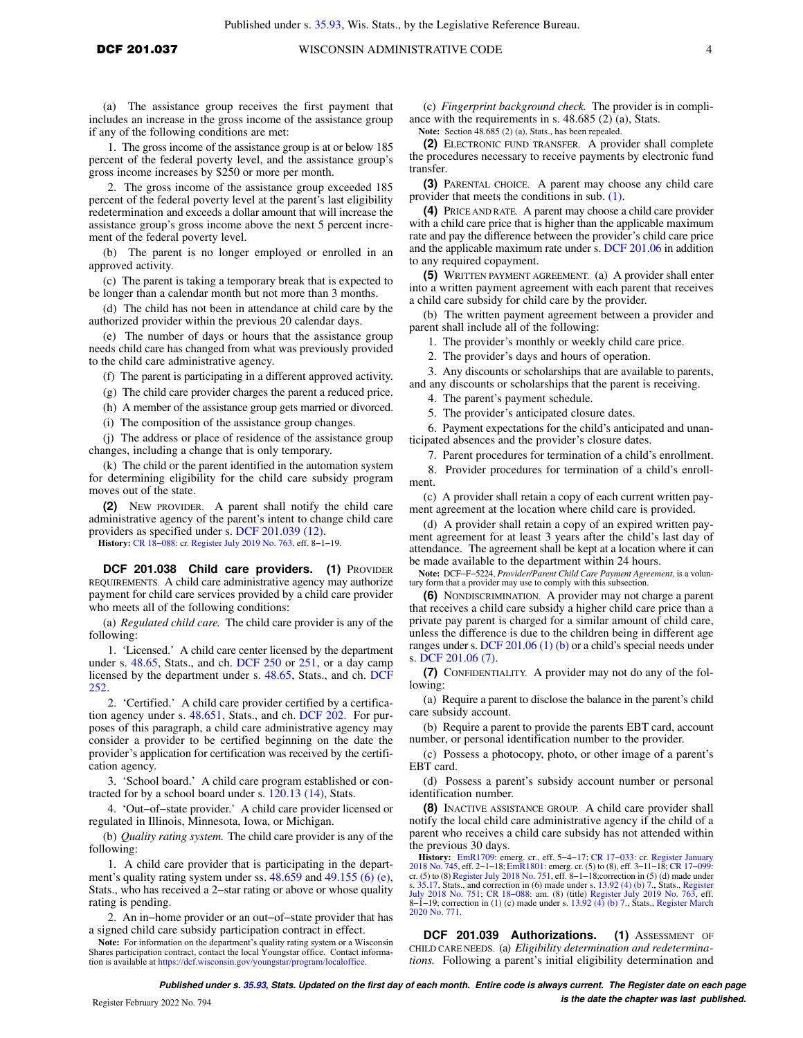(a) The assistance group receives the first payment that includes an increase in the gross income of the assistance group if any of the following conditions are met:

1. The gross income of the assistance group is at or below 185 percent of the federal poverty level, and the assistance group's gross income increases by \$250 or more per month.

2. The gross income of the assistance group exceeded 185 percent of the federal poverty level at the parent's last eligibility redetermination and exceeds a dollar amount that will increase the assistance group's gross income above the next 5 percent increment of the federal poverty level.

(b) The parent is no longer employed or enrolled in an approved activity.

(c) The parent is taking a temporary break that is expected to be longer than a calendar month but not more than 3 months.

(d) The child has not been in attendance at child care by the authorized provider within the previous 20 calendar days.

(e) The number of days or hours that the assistance group needs child care has changed from what was previously provided to the child care administrative agency.

(f) The parent is participating in a different approved activity.

(g) The child care provider charges the parent a reduced price.

(h) A member of the assistance group gets married or divorced.

(i) The composition of the assistance group changes.

(j) The address or place of residence of the assistance group changes, including a change that is only temporary.

(k) The child or the parent identified in the automation system for determining eligibility for the child care subsidy program moves out of the state.

**(2)** NEW PROVIDER. A parent shall notify the child care administrative agency of the parent's intent to change child care providers as specified under s. [DCF 201.039 \(12\).](https://docs-preview.legis.wisconsin.gov/document/administrativecode/DCF%20201.039(12))

**History:** [CR 18−088:](https://docs-preview.legis.wisconsin.gov/document/cr/2018/88) cr. [Register July 2019 No. 763,](https://docs-preview.legis.wisconsin.gov/document/register/763/B/toc) eff. 8−1−19.

**DCF 201.038 Child care providers. (1)** PROVIDER REQUIREMENTS. A child care administrative agency may authorize payment for child care services provided by a child care provider who meets all of the following conditions:

(a) *Regulated child care.* The child care provider is any of the following:

1. 'Licensed.' A child care center licensed by the department under s. [48.65](https://docs-preview.legis.wisconsin.gov/document/statutes/48.65), Stats., and ch. [DCF 250](https://docs-preview.legis.wisconsin.gov/document/administrativecode/ch.%20DCF%20250) or [251,](https://docs-preview.legis.wisconsin.gov/document/administrativecode/ch.%20DCF%20251) or a day camp licensed by the department under s. [48.65](https://docs-preview.legis.wisconsin.gov/document/statutes/48.65), Stats., and ch. [DCF](https://docs-preview.legis.wisconsin.gov/document/administrativecode/ch.%20DCF%20252) [252](https://docs-preview.legis.wisconsin.gov/document/administrativecode/ch.%20DCF%20252).

2. 'Certified.' A child care provider certified by a certification agency under s. [48.651,](https://docs-preview.legis.wisconsin.gov/document/statutes/48.651) Stats., and ch. [DCF 202](https://docs-preview.legis.wisconsin.gov/document/administrativecode/ch.%20DCF%20202). For purposes of this paragraph, a child care administrative agency may consider a provider to be certified beginning on the date the provider's application for certification was received by the certification agency.

3. 'School board.' A child care program established or contracted for by a school board under s. [120.13 \(14\)](https://docs-preview.legis.wisconsin.gov/document/statutes/120.13(14)), Stats.

4. 'Out−of−state provider.' A child care provider licensed or regulated in Illinois, Minnesota, Iowa, or Michigan.

(b) *Quality rating system.* The child care provider is any of the following:

1. A child care provider that is participating in the depart-ment's quality rating system under ss. [48.659](https://docs-preview.legis.wisconsin.gov/document/statutes/48.659) and [49.155 \(6\) \(e\),](https://docs-preview.legis.wisconsin.gov/document/statutes/49.155(6)(e)) Stats., who has received a 2−star rating or above or whose quality rating is pending.

2. An in–home provider or an out–of–state provider that has a signed child care subsidy participation contract in effect.

**Note:** For information on the department's quality rating system or a Wisconsin Shares participation contract, contact the local Youngstar office. Contact information is available at <https://dcf.wisconsin.gov/youngstar/program/localoffice>.

(c) *Fingerprint background check.* The provider is in compliance with the requirements in s. 48.685 (2) (a), Stats.

**Note:** Section 48.685 (2) (a), Stats., has been repealed.

**(2)** ELECTRONIC FUND TRANSFER. A provider shall complete the procedures necessary to receive payments by electronic fund transfer.

**(3)** PARENTAL CHOICE. A parent may choose any child care provider that meets the conditions in sub. [\(1\)](https://docs-preview.legis.wisconsin.gov/document/administrativecode/DCF%20201.038(1)).

**(4)** PRICE AND RATE. A parent may choose a child care provider with a child care price that is higher than the applicable maximum rate and pay the difference between the provider's child care price and the applicable maximum rate under s. [DCF 201.06](https://docs-preview.legis.wisconsin.gov/document/administrativecode/DCF%20201.06) in addition to any required copayment.

**(5)** WRITTEN PAYMENT AGREEMENT. (a) A provider shall enter into a written payment agreement with each parent that receives a child care subsidy for child care by the provider.

(b) The written payment agreement between a provider and parent shall include all of the following:

1. The provider's monthly or weekly child care price.

2. The provider's days and hours of operation.

3. Any discounts or scholarships that are available to parents, and any discounts or scholarships that the parent is receiving.

4. The parent's payment schedule.

5. The provider's anticipated closure dates.

6. Payment expectations for the child's anticipated and unanticipated absences and the provider's closure dates.

7. Parent procedures for termination of a child's enrollment.

8. Provider procedures for termination of a child's enrollment.

(c) A provider shall retain a copy of each current written payment agreement at the location where child care is provided.

(d) A provider shall retain a copy of an expired written payment agreement for at least 3 years after the child's last day of attendance. The agreement shall be kept at a location where it can be made available to the department within 24 hours.

**Note:** DCF−F−5224, *Provider/Parent Child Care Payment Agreement*, is a voluntary form that a provider may use to comply with this subsection.

**(6)** NONDISCRIMINATION. A provider may not charge a parent that receives a child care subsidy a higher child care price than a private pay parent is charged for a similar amount of child care, unless the difference is due to the children being in different age ranges under s. [DCF 201.06 \(1\) \(b\)](https://docs-preview.legis.wisconsin.gov/document/administrativecode/DCF%20201.06(1)(b)) or a child's special needs under s. [DCF 201.06 \(7\).](https://docs-preview.legis.wisconsin.gov/document/administrativecode/DCF%20201.06(7))

**(7)** CONFIDENTIALITY. A provider may not do any of the following:

(a) Require a parent to disclose the balance in the parent's child care subsidy account.

(b) Require a parent to provide the parents EBT card, account number, or personal identification number to the provider.

(c) Possess a photocopy, photo, or other image of a parent's EBT card.

(d) Possess a parent's subsidy account number or personal identification number.

**(8)** INACTIVE ASSISTANCE GROUP. A child care provider shall notify the local child care administrative agency if the child of a parent who receives a child care subsidy has not attended within the previous 30 days.

**History:** [EmR1709](https://docs-preview.legis.wisconsin.gov/document/emergencyrules/EmR1709): emerg. cr., eff. 5–4–17; CR 17–033: cr. [Register January](https://docs-preview.legis.wisconsin.gov/document/register/745/B/toc)<br>[2018 No. 745](https://docs-preview.legis.wisconsin.gov/document/register/745/B/toc), eff. 2–1–18; [EmR1801:](https://docs-preview.legis.wisconsin.gov/document/emergencyrules/EmR1801) emerg. cr. (5) to (8), eff. 3–11–18; CR 17–099:<br>cr. (5) to (8) [Register July 2018 No. 751](https://docs-preview.legis.wisconsin.gov/document/register/751/B/toc), eff. 8–1–18; corr [July 2018 No. 751;](https://docs-preview.legis.wisconsin.gov/document/register/751/B/toc) [CR 18−088](https://docs-preview.legis.wisconsin.gov/document/cr/2018/88): am. (8) (title) [Register July 2019 No. 763,](https://docs-preview.legis.wisconsin.gov/document/register/763/B/toc) eff. 8−1−19; correction in (1) (c) made under s. [13.92 \(4\) \(b\) 7.](https://docs-preview.legis.wisconsin.gov/document/statutes/13.92(4)(b)7.), Stats., [Register March](https://docs-preview.legis.wisconsin.gov/document/register/771/B/toc) [2020 No. 771.](https://docs-preview.legis.wisconsin.gov/document/register/771/B/toc)

DCF 201.039 Authorizations. (1) ASSESSMENT OF CHILD CARE NEEDS. (a) *Eligibility determination and redeterminations.* Following a parent's initial eligibility determination and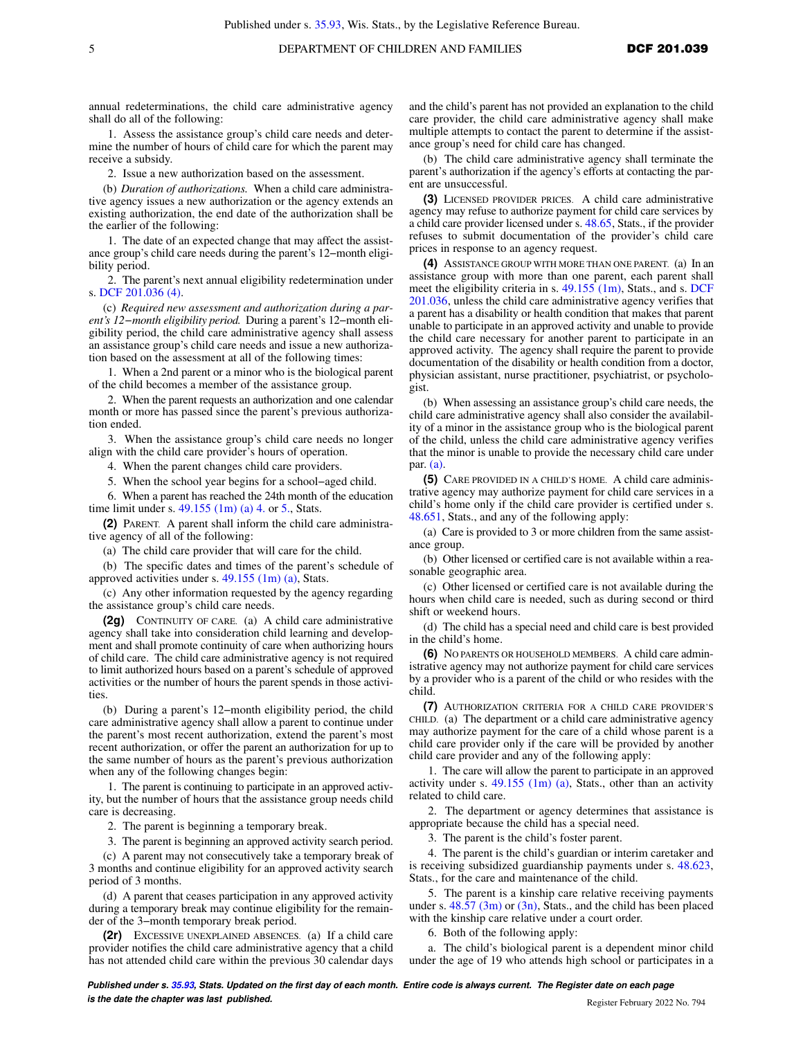annual redeterminations, the child care administrative agency shall do all of the following:

1. Assess the assistance group's child care needs and determine the number of hours of child care for which the parent may receive a subsidy.

2. Issue a new authorization based on the assessment.

(b) *Duration of authorizations.* When a child care administrative agency issues a new authorization or the agency extends an existing authorization, the end date of the authorization shall be the earlier of the following:

1. The date of an expected change that may affect the assistance group's child care needs during the parent's 12−month eligibility period.

2. The parent's next annual eligibility redetermination under s. [DCF 201.036 \(4\).](https://docs-preview.legis.wisconsin.gov/document/administrativecode/DCF%20201.036(4))

(c) *Required new assessment and authorization during a parent's 12−month eligibility period.* During a parent's 12−month eligibility period, the child care administrative agency shall assess an assistance group's child care needs and issue a new authorization based on the assessment at all of the following times:

1. When a 2nd parent or a minor who is the biological parent of the child becomes a member of the assistance group.

2. When the parent requests an authorization and one calendar month or more has passed since the parent's previous authorization ended.

3. When the assistance group's child care needs no longer align with the child care provider's hours of operation.

4. When the parent changes child care providers.

5. When the school year begins for a school−aged child.

6. When a parent has reached the 24th month of the education time limit under s.  $49.155$  (1m) (a) 4. or [5.](https://docs-preview.legis.wisconsin.gov/document/statutes/49.155(1m)(a)5.), Stats.

**(2)** PARENT. A parent shall inform the child care administrative agency of all of the following:

(a) The child care provider that will care for the child.

(b) The specific dates and times of the parent's schedule of approved activities under s. [49.155 \(1m\) \(a\),](https://docs-preview.legis.wisconsin.gov/document/statutes/49.155(1m)(a)) Stats.

(c) Any other information requested by the agency regarding the assistance group's child care needs.

**(2g)** CONTINUITY OF CARE. (a) A child care administrative agency shall take into consideration child learning and development and shall promote continuity of care when authorizing hours of child care. The child care administrative agency is not required to limit authorized hours based on a parent's schedule of approved activities or the number of hours the parent spends in those activities.

(b) During a parent's 12−month eligibility period, the child care administrative agency shall allow a parent to continue under the parent's most recent authorization, extend the parent's most recent authorization, or offer the parent an authorization for up to the same number of hours as the parent's previous authorization when any of the following changes begin:

1. The parent is continuing to participate in an approved activity, but the number of hours that the assistance group needs child care is decreasing.

2. The parent is beginning a temporary break.

3. The parent is beginning an approved activity search period.

(c) A parent may not consecutively take a temporary break of 3 months and continue eligibility for an approved activity search period of 3 months.

(d) A parent that ceases participation in any approved activity during a temporary break may continue eligibility for the remainder of the 3−month temporary break period.

**(2r)** EXCESSIVE UNEXPLAINED ABSENCES. (a) If a child care provider notifies the child care administrative agency that a child has not attended child care within the previous 30 calendar days and the child's parent has not provided an explanation to the child care provider, the child care administrative agency shall make multiple attempts to contact the parent to determine if the assistance group's need for child care has changed.

(b) The child care administrative agency shall terminate the parent's authorization if the agency's efforts at contacting the parent are unsuccessful.

**(3)** LICENSED PROVIDER PRICES. A child care administrative agency may refuse to authorize payment for child care services by a child care provider licensed under s. [48.65,](https://docs-preview.legis.wisconsin.gov/document/statutes/48.65) Stats., if the provider refuses to submit documentation of the provider's child care prices in response to an agency request.

**(4)** ASSISTANCE GROUP WITH MORE THAN ONE PARENT. (a) In an assistance group with more than one parent, each parent shall meet the eligibility criteria in s. [49.155 \(1m\),](https://docs-preview.legis.wisconsin.gov/document/statutes/49.155(1m)) Stats., and s. [DCF](https://docs-preview.legis.wisconsin.gov/document/administrativecode/DCF%20201.036) [201.036,](https://docs-preview.legis.wisconsin.gov/document/administrativecode/DCF%20201.036) unless the child care administrative agency verifies that a parent has a disability or health condition that makes that parent unable to participate in an approved activity and unable to provide the child care necessary for another parent to participate in an approved activity. The agency shall require the parent to provide documentation of the disability or health condition from a doctor, physician assistant, nurse practitioner, psychiatrist, or psychologist.

(b) When assessing an assistance group's child care needs, the child care administrative agency shall also consider the availability of a minor in the assistance group who is the biological parent of the child, unless the child care administrative agency verifies that the minor is unable to provide the necessary child care under par. [\(a\).](https://docs-preview.legis.wisconsin.gov/document/administrativecode/DCF%20201.039(4)(a))

**(5)** CARE PROVIDED IN A CHILD'S HOME. A child care administrative agency may authorize payment for child care services in a child's home only if the child care provider is certified under s. [48.651](https://docs-preview.legis.wisconsin.gov/document/statutes/48.651), Stats., and any of the following apply:

(a) Care is provided to 3 or more children from the same assistance group.

(b) Other licensed or certified care is not available within a reasonable geographic area.

(c) Other licensed or certified care is not available during the hours when child care is needed, such as during second or third shift or weekend hours.

(d) The child has a special need and child care is best provided in the child's home.

**(6)** NO PARENTS OR HOUSEHOLD MEMBERS. A child care administrative agency may not authorize payment for child care services by a provider who is a parent of the child or who resides with the child.

**(7)** AUTHORIZATION CRITERIA FOR A CHILD CARE PROVIDER'S CHILD. (a) The department or a child care administrative agency may authorize payment for the care of a child whose parent is a child care provider only if the care will be provided by another child care provider and any of the following apply:

1. The care will allow the parent to participate in an approved activity under s.  $49.155$  (1m) (a), Stats., other than an activity related to child care.

2. The department or agency determines that assistance is appropriate because the child has a special need.

3. The parent is the child's foster parent.

4. The parent is the child's guardian or interim caretaker and is receiving subsidized guardianship payments under s. [48.623,](https://docs-preview.legis.wisconsin.gov/document/statutes/48.623) Stats., for the care and maintenance of the child.

5. The parent is a kinship care relative receiving payments under s.  $48.57$  (3m) or [\(3n\),](https://docs-preview.legis.wisconsin.gov/document/statutes/48.57(3n)) Stats., and the child has been placed with the kinship care relative under a court order.

6. Both of the following apply:

a. The child's biological parent is a dependent minor child under the age of 19 who attends high school or participates in a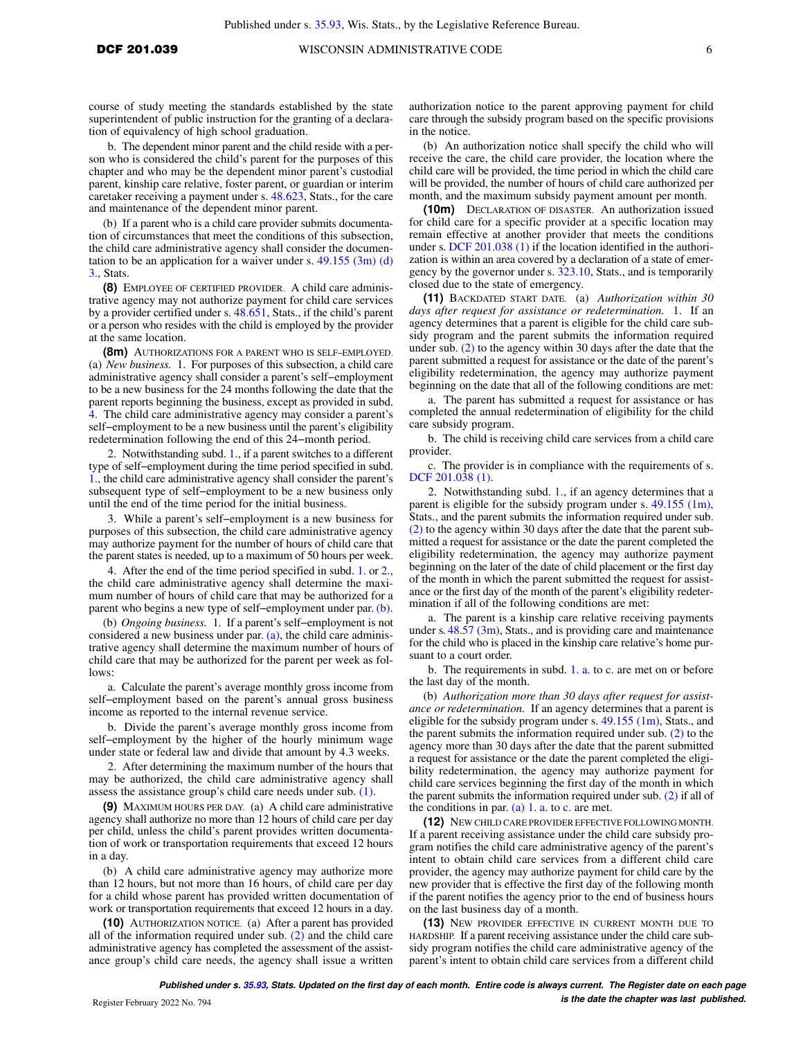course of study meeting the standards established by the state superintendent of public instruction for the granting of a declaration of equivalency of high school graduation.

b. The dependent minor parent and the child reside with a person who is considered the child's parent for the purposes of this chapter and who may be the dependent minor parent's custodial parent, kinship care relative, foster parent, or guardian or interim caretaker receiving a payment under s. [48.623,](https://docs-preview.legis.wisconsin.gov/document/statutes/48.623) Stats., for the care and maintenance of the dependent minor parent.

(b) If a parent who is a child care provider submits documentation of circumstances that meet the conditions of this subsection, the child care administrative agency shall consider the documentation to be an application for a waiver under s.  $49.155$  (3m) (d) [3.,](https://docs-preview.legis.wisconsin.gov/document/statutes/49.155(3m)(d)3.) Stats.

**(8)** EMPLOYEE OF CERTIFIED PROVIDER. A child care administrative agency may not authorize payment for child care services by a provider certified under s. [48.651,](https://docs-preview.legis.wisconsin.gov/document/statutes/48.651) Stats., if the child's parent or a person who resides with the child is employed by the provider at the same location.

**(8m)** AUTHORIZATIONS FOR A PARENT WHO IS SELF−EMPLOYED. (a) *New business.* 1. For purposes of this subsection, a child care administrative agency shall consider a parent's self−employment to be a new business for the 24 months following the date that the parent reports beginning the business, except as provided in subd. [4.](https://docs-preview.legis.wisconsin.gov/document/administrativecode/DCF%20201.039(8m)(a)4.) The child care administrative agency may consider a parent's self−employment to be a new business until the parent's eligibility redetermination following the end of this 24−month period.

2. Notwithstanding subd. [1.,](https://docs-preview.legis.wisconsin.gov/document/administrativecode/DCF%20201.039(8m)(a)1.) if a parent switches to a different type of self−employment during the time period specified in subd. [1.,](https://docs-preview.legis.wisconsin.gov/document/administrativecode/DCF%20201.039(8m)(a)1.) the child care administrative agency shall consider the parent's subsequent type of self−employment to be a new business only until the end of the time period for the initial business.

3. While a parent's self−employment is a new business for purposes of this subsection, the child care administrative agency may authorize payment for the number of hours of child care that the parent states is needed, up to a maximum of 50 hours per week.

4. After the end of the time period specified in subd. [1.](https://docs-preview.legis.wisconsin.gov/document/administrativecode/DCF%20201.039(8m)(a)1.) or [2.,](https://docs-preview.legis.wisconsin.gov/document/administrativecode/DCF%20201.039(8m)(a)2.) the child care administrative agency shall determine the maximum number of hours of child care that may be authorized for a parent who begins a new type of self–employment under par. [\(b\).](https://docs-preview.legis.wisconsin.gov/document/administrativecode/DCF%20201.039(8m)(b))

(b) *Ongoing business.* 1. If a parent's self−employment is not considered a new business under par. [\(a\)](https://docs-preview.legis.wisconsin.gov/document/administrativecode/DCF%20201.039(8m)(a)), the child care administrative agency shall determine the maximum number of hours of child care that may be authorized for the parent per week as follows:

a. Calculate the parent's average monthly gross income from self−employment based on the parent's annual gross business income as reported to the internal revenue service.

b. Divide the parent's average monthly gross income from self–employment by the higher of the hourly minimum wage under state or federal law and divide that amount by 4.3 weeks.

2. After determining the maximum number of the hours that may be authorized, the child care administrative agency shall assess the assistance group's child care needs under sub. [\(1\)](https://docs-preview.legis.wisconsin.gov/document/administrativecode/DCF%20201.039(1)).

**(9)** MAXIMUM HOURS PER DAY. (a) A child care administrative agency shall authorize no more than 12 hours of child care per day per child, unless the child's parent provides written documentation of work or transportation requirements that exceed 12 hours in a day.

(b) A child care administrative agency may authorize more than 12 hours, but not more than 16 hours, of child care per day for a child whose parent has provided written documentation of work or transportation requirements that exceed 12 hours in a day.

**(10)** AUTHORIZATION NOTICE. (a) After a parent has provided all of the information required under sub. [\(2\)](https://docs-preview.legis.wisconsin.gov/document/administrativecode/DCF%20201.039(2)) and the child care administrative agency has completed the assessment of the assistance group's child care needs, the agency shall issue a written authorization notice to the parent approving payment for child care through the subsidy program based on the specific provisions in the notice.

(b) An authorization notice shall specify the child who will receive the care, the child care provider, the location where the child care will be provided, the time period in which the child care will be provided, the number of hours of child care authorized per month, and the maximum subsidy payment amount per month.

**(10m)** DECLARATION OF DISASTER. An authorization issued for child care for a specific provider at a specific location may remain effective at another provider that meets the conditions under s. [DCF 201.038 \(1\)](https://docs-preview.legis.wisconsin.gov/document/administrativecode/DCF%20201.038(1)) if the location identified in the authorization is within an area covered by a declaration of a state of emergency by the governor under s. [323.10](https://docs-preview.legis.wisconsin.gov/document/statutes/323.10), Stats., and is temporarily closed due to the state of emergency.

**(11)** BACKDATED START DATE. (a) *Authorization within 30 days after request for assistance or redetermination.* 1. If an agency determines that a parent is eligible for the child care subsidy program and the parent submits the information required under sub. [\(2\)](https://docs-preview.legis.wisconsin.gov/document/administrativecode/DCF%20201.039(2)) to the agency within 30 days after the date that the parent submitted a request for assistance or the date of the parent's eligibility redetermination, the agency may authorize payment beginning on the date that all of the following conditions are met:

a. The parent has submitted a request for assistance or has completed the annual redetermination of eligibility for the child care subsidy program.

b. The child is receiving child care services from a child care provider.

c. The provider is in compliance with the requirements of s. [DCF 201.038 \(1\)](https://docs-preview.legis.wisconsin.gov/document/administrativecode/DCF%20201.038(1)).

2. Notwithstanding subd. [1.,](https://docs-preview.legis.wisconsin.gov/document/administrativecode/DCF%20201.039(11)(a)1.) if an agency determines that a parent is eligible for the subsidy program under s. [49.155 \(1m\),](https://docs-preview.legis.wisconsin.gov/document/statutes/49.155(1m)) Stats., and the parent submits the information required under sub. [\(2\)](https://docs-preview.legis.wisconsin.gov/document/administrativecode/DCF%20201.039(2)) to the agency within 30 days after the date that the parent submitted a request for assistance or the date the parent completed the eligibility redetermination, the agency may authorize payment beginning on the later of the date of child placement or the first day of the month in which the parent submitted the request for assistance or the first day of the month of the parent's eligibility redetermination if all of the following conditions are met:

a. The parent is a kinship care relative receiving payments under s.  $48.57 \, (3m)$ , Stats., and is providing care and maintenance for the child who is placed in the kinship care relative's home pursuant to a court order.

b. The requirements in subd. [1. a.](https://docs-preview.legis.wisconsin.gov/document/administrativecode/DCF%20201.039(11)(a)1.a.) to [c.](https://docs-preview.legis.wisconsin.gov/document/administrativecode/DCF%20201.039(11)(a)1.c.) are met on or before the last day of the month.

(b) *Authorization more than 30 days after request for assistance or redetermination.* If an agency determines that a parent is eligible for the subsidy program under s. [49.155 \(1m\)](https://docs-preview.legis.wisconsin.gov/document/statutes/49.155(1m)), Stats., and the parent submits the information required under sub. [\(2\)](https://docs-preview.legis.wisconsin.gov/document/administrativecode/DCF%20201.039(2)) to the agency more than 30 days after the date that the parent submitted a request for assistance or the date the parent completed the eligibility redetermination, the agency may authorize payment for child care services beginning the first day of the month in which the parent submits the information required under sub. [\(2\)](https://docs-preview.legis.wisconsin.gov/document/administrativecode/DCF%20201.039(2)) if all of the conditions in par.  $(a)$  1. a. to [c.](https://docs-preview.legis.wisconsin.gov/document/administrativecode/DCF%20201.039(11)(a)1.c.) are met.

**(12)** NEW CHILD CARE PROVIDER EFFECTIVE FOLLOWING MONTH. If a parent receiving assistance under the child care subsidy program notifies the child care administrative agency of the parent's intent to obtain child care services from a different child care provider, the agency may authorize payment for child care by the new provider that is effective the first day of the following month if the parent notifies the agency prior to the end of business hours on the last business day of a month.

**(13)** NEW PROVIDER EFFECTIVE IN CURRENT MONTH DUE TO HARDSHIP. If a parent receiving assistance under the child care subsidy program notifies the child care administrative agency of the parent's intent to obtain child care services from a different child

**Published under s. [35.93,](https://docs-preview.legis.wisconsin.gov/document/statutes/35.93) Stats. Updated on the first day of each month. Entire code is always current. The Register date on each page is the date the chapter was last published.** Register February 2022 No. 794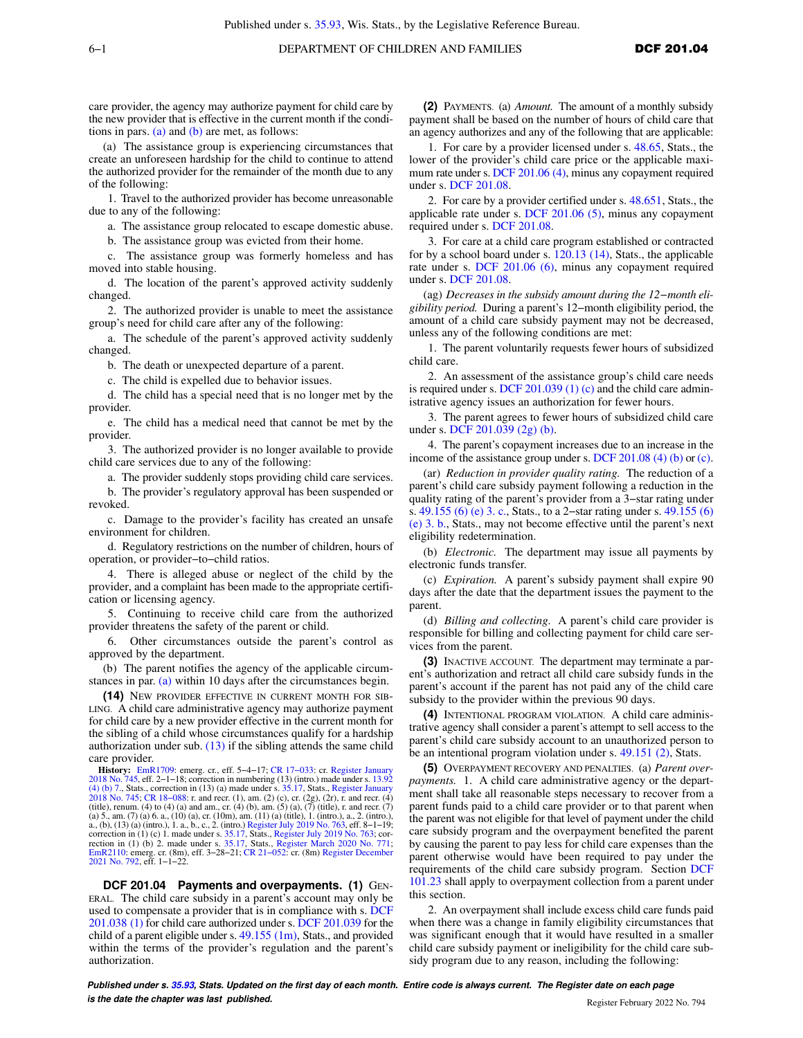care provider, the agency may authorize payment for child care by the new provider that is effective in the current month if the conditions in pars. [\(a\)](https://docs-preview.legis.wisconsin.gov/document/administrativecode/DCF%20201.039(13)(a)) and [\(b\)](https://docs-preview.legis.wisconsin.gov/document/administrativecode/DCF%20201.039(13)(b)) are met, as follows:

(a) The assistance group is experiencing circumstances that create an unforeseen hardship for the child to continue to attend the authorized provider for the remainder of the month due to any of the following:

1. Travel to the authorized provider has become unreasonable due to any of the following:

a. The assistance group relocated to escape domestic abuse.

b. The assistance group was evicted from their home.

c. The assistance group was formerly homeless and has moved into stable housing.

d. The location of the parent's approved activity suddenly changed.

2. The authorized provider is unable to meet the assistance group's need for child care after any of the following:

a. The schedule of the parent's approved activity suddenly changed.

b. The death or unexpected departure of a parent.

c. The child is expelled due to behavior issues.

d. The child has a special need that is no longer met by the provider.

e. The child has a medical need that cannot be met by the provider.

3. The authorized provider is no longer available to provide child care services due to any of the following:

a. The provider suddenly stops providing child care services.

b. The provider's regulatory approval has been suspended or revoked.

c. Damage to the provider's facility has created an unsafe environment for children.

d. Regulatory restrictions on the number of children, hours of operation, or provider−to−child ratios.

4. There is alleged abuse or neglect of the child by the provider, and a complaint has been made to the appropriate certification or licensing agency.

5. Continuing to receive child care from the authorized provider threatens the safety of the parent or child.

6. Other circumstances outside the parent's control as approved by the department.

(b) The parent notifies the agency of the applicable circumstances in par. [\(a\)](https://docs-preview.legis.wisconsin.gov/document/administrativecode/DCF%20201.039(13)(a)) within 10 days after the circumstances begin.

**(14)** NEW PROVIDER EFFECTIVE IN CURRENT MONTH FOR SIB-LING. A child care administrative agency may authorize payment for child care by a new provider effective in the current month for the sibling of a child whose circumstances qualify for a hardship authorization under sub.  $(13)$  if the sibling attends the same child care provider.

**History:** [EmR1709:](https://docs-preview.legis.wisconsin.gov/document/emergencyrules/EmR1709) emerg. cr., eff. 5–4–17; CR 17–033: cr. [Register January](https://docs-preview.legis.wisconsin.gov/document/register/745/B/toc)<br>[2018 No. 745](https://docs-preview.legis.wisconsin.gov/document/register/745/B/toc), eff. 2–1–18; correction in numbering (13) (intro.) made under s. [13.92](https://docs-preview.legis.wisconsin.gov/document/statutes/13.92(4)(b)7.)<br>[\(4\) \(b\) 7.,](https://docs-preview.legis.wisconsin.gov/document/statutes/13.92(4)(b)7.) Stats., correction in (13) (a) made under s. 35. [2018 No. 745](https://docs-preview.legis.wisconsin.gov/document/register/745/B/toc); CR 18–088: r. and recr. (1), am. (2) (c), cr. (2g), (2r), r. and recr. (4) (title), renum. (4) to (4) (a) and am., cr. (4) (b), am. (5) (a), (7) (title), r. and recr. (7) (a) 5., am. (7) (a) 6. a., (10) (a), cr. (10m), am. (11) (a) (title), 1. (intro.), a., 2. (intro.), a., (b), (13) (a) (intro.), 1. a., b., c., 2. (intro.) [Register July 2019 No. 763](https://docs-preview.legis.wisconsin.gov/document/register/763/B/toc), eff. 8–1–19;<br>correction in (1) (c) 1. made under s. [35.17,](https://docs-preview.legis.wisconsin.gov/document/statutes/35.17) Stats., [Register July 2019 No. 763](https://docs-preview.legis.wisconsin.gov/document/register/763/B/toc); cor-<br>rection in (1) (b) 2. made under s. 35. [2021 No. 792](https://docs-preview.legis.wisconsin.gov/document/register/792/B/toc), eff. 1−1−22.

**DCF 201.04 Payments and overpayments. (1)** GEN-ERAL. The child care subsidy in a parent's account may only be used to compensate a provider that is in compliance with s. [DCF](https://docs-preview.legis.wisconsin.gov/document/administrativecode/DCF%20201.038(1)) [201.038 \(1\)](https://docs-preview.legis.wisconsin.gov/document/administrativecode/DCF%20201.038(1)) for child care authorized under s. [DCF 201.039](https://docs-preview.legis.wisconsin.gov/document/administrativecode/DCF%20201.039) for the child of a parent eligible under s.  $49.155$  (1m), Stats., and provided within the terms of the provider's regulation and the parent's authorization.

**(2)** PAYMENTS. (a) *Amount.* The amount of a monthly subsidy payment shall be based on the number of hours of child care that an agency authorizes and any of the following that are applicable:

1. For care by a provider licensed under s. [48.65](https://docs-preview.legis.wisconsin.gov/document/statutes/48.65), Stats., the lower of the provider's child care price or the applicable maximum rate under s. [DCF 201.06 \(4\),](https://docs-preview.legis.wisconsin.gov/document/administrativecode/DCF%20201.06(4)) minus any copayment required under s. [DCF 201.08.](https://docs-preview.legis.wisconsin.gov/document/administrativecode/DCF%20201.08)

2. For care by a provider certified under s. [48.651](https://docs-preview.legis.wisconsin.gov/document/statutes/48.651), Stats., the applicable rate under s. [DCF 201.06 \(5\),](https://docs-preview.legis.wisconsin.gov/document/administrativecode/DCF%20201.06(5)) minus any copayment required under s. [DCF 201.08](https://docs-preview.legis.wisconsin.gov/document/administrativecode/DCF%20201.08).

3. For care at a child care program established or contracted for by a school board under s. [120.13 \(14\),](https://docs-preview.legis.wisconsin.gov/document/statutes/120.13(14)) Stats., the applicable rate under s. [DCF 201.06 \(6\),](https://docs-preview.legis.wisconsin.gov/document/administrativecode/DCF%20201.06(6)) minus any copayment required under s. [DCF 201.08.](https://docs-preview.legis.wisconsin.gov/document/administrativecode/DCF%20201.08)

(ag) *Decreases in the subsidy amount during the 12−month eligibility period.* During a parent's 12−month eligibility period, the amount of a child care subsidy payment may not be decreased, unless any of the following conditions are met:

1. The parent voluntarily requests fewer hours of subsidized child care.

2. An assessment of the assistance group's child care needs is required under s. DCF  $201.039(1)(c)$  and the child care administrative agency issues an authorization for fewer hours.

3. The parent agrees to fewer hours of subsidized child care under s. [DCF 201.039 \(2g\) \(b\)](https://docs-preview.legis.wisconsin.gov/document/administrativecode/DCF%20201.039(2g)(b)).

4. The parent's copayment increases due to an increase in the income of the assistance group under s. [DCF 201.08 \(4\) \(b\)](https://docs-preview.legis.wisconsin.gov/document/administrativecode/DCF%20201.08(4)(b)) or [\(c\).](https://docs-preview.legis.wisconsin.gov/document/administrativecode/DCF%20201.08(4)(c))

(ar) *Reduction in provider quality rating.* The reduction of a parent's child care subsidy payment following a reduction in the quality rating of the parent's provider from a 3−star rating under s. [49.155 \(6\) \(e\) 3. c.](https://docs-preview.legis.wisconsin.gov/document/statutes/49.155(6)(e)3.c.), Stats., to a 2–star rating under s. [49.155 \(6\)](https://docs-preview.legis.wisconsin.gov/document/statutes/49.155(6)(e)3.b.) [\(e\) 3. b.](https://docs-preview.legis.wisconsin.gov/document/statutes/49.155(6)(e)3.b.), Stats., may not become effective until the parent's next eligibility redetermination.

(b) *Electronic.* The department may issue all payments by electronic funds transfer.

(c) *Expiration.* A parent's subsidy payment shall expire 90 days after the date that the department issues the payment to the parent.

(d) *Billing and collecting.* A parent's child care provider is responsible for billing and collecting payment for child care services from the parent.

**(3)** INACTIVE ACCOUNT. The department may terminate a parent's authorization and retract all child care subsidy funds in the parent's account if the parent has not paid any of the child care subsidy to the provider within the previous 90 days.

**(4)** INTENTIONAL PROGRAM VIOLATION. A child care administrative agency shall consider a parent's attempt to sell access to the parent's child care subsidy account to an unauthorized person to be an intentional program violation under s. [49.151 \(2\),](https://docs-preview.legis.wisconsin.gov/document/statutes/49.151(2)) Stats.

**(5)** OVERPAYMENT RECOVERY AND PENALTIES. (a) *Parent overpayments.* 1. A child care administrative agency or the department shall take all reasonable steps necessary to recover from a parent funds paid to a child care provider or to that parent when the parent was not eligible for that level of payment under the child care subsidy program and the overpayment benefited the parent by causing the parent to pay less for child care expenses than the parent otherwise would have been required to pay under the requirements of the child care subsidy program. Section [DCF](https://docs-preview.legis.wisconsin.gov/document/administrativecode/DCF%20101.23) [101.23](https://docs-preview.legis.wisconsin.gov/document/administrativecode/DCF%20101.23) shall apply to overpayment collection from a parent under this section.

2. An overpayment shall include excess child care funds paid when there was a change in family eligibility circumstances that was significant enough that it would have resulted in a smaller child care subsidy payment or ineligibility for the child care subsidy program due to any reason, including the following: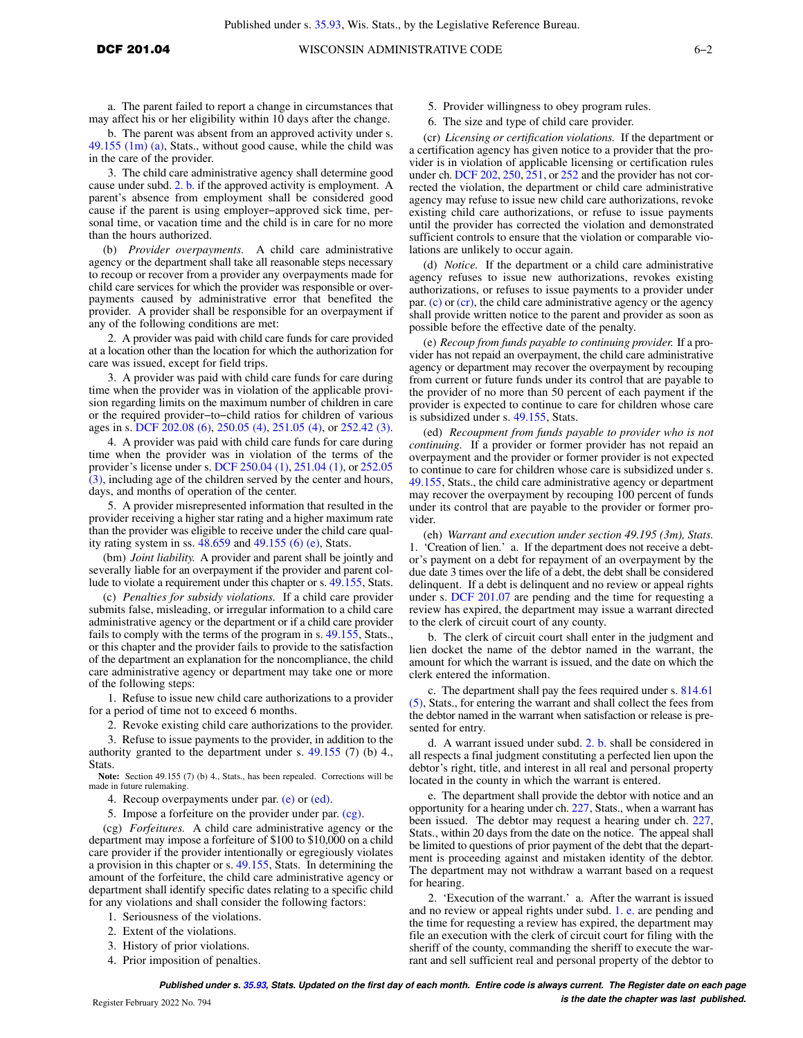a. The parent failed to report a change in circumstances that may affect his or her eligibility within 10 days after the change.

b. The parent was absent from an approved activity under s. [49.155 \(1m\) \(a\)](https://docs-preview.legis.wisconsin.gov/document/statutes/49.155(1m)(a)), Stats., without good cause, while the child was in the care of the provider.

3. The child care administrative agency shall determine good cause under subd. [2. b.](https://docs-preview.legis.wisconsin.gov/document/administrativecode/DCF%20201.04(5)(a)2.b.) if the approved activity is employment. A parent's absence from employment shall be considered good cause if the parent is using employer−approved sick time, personal time, or vacation time and the child is in care for no more than the hours authorized.

(b) *Provider overpayments.* A child care administrative agency or the department shall take all reasonable steps necessary to recoup or recover from a provider any overpayments made for child care services for which the provider was responsible or overpayments caused by administrative error that benefited the provider. A provider shall be responsible for an overpayment if any of the following conditions are met:

2. A provider was paid with child care funds for care provided at a location other than the location for which the authorization for care was issued, except for field trips.

3. A provider was paid with child care funds for care during time when the provider was in violation of the applicable provision regarding limits on the maximum number of children in care or the required provider−to−child ratios for children of various ages in s. [DCF 202.08 \(6\)](https://docs-preview.legis.wisconsin.gov/document/administrativecode/DCF%20202.08(6)), [250.05 \(4\)](https://docs-preview.legis.wisconsin.gov/document/administrativecode/DCF%20250.05(4)), [251.05 \(4\),](https://docs-preview.legis.wisconsin.gov/document/administrativecode/DCF%20251.05(4)) or [252.42 \(3\).](https://docs-preview.legis.wisconsin.gov/document/administrativecode/DCF%20252.42(3))

4. A provider was paid with child care funds for care during time when the provider was in violation of the terms of the provider's license under s. [DCF 250.04 \(1\)](https://docs-preview.legis.wisconsin.gov/document/administrativecode/DCF%20250.04(1)), [251.04 \(1\),](https://docs-preview.legis.wisconsin.gov/document/administrativecode/DCF%20251.04(1)) or [252.05](https://docs-preview.legis.wisconsin.gov/document/administrativecode/DCF%20252.05(3)) [\(3\)](https://docs-preview.legis.wisconsin.gov/document/administrativecode/DCF%20252.05(3)), including age of the children served by the center and hours, days, and months of operation of the center.

5. A provider misrepresented information that resulted in the provider receiving a higher star rating and a higher maximum rate than the provider was eligible to receive under the child care quality rating system in ss. [48.659](https://docs-preview.legis.wisconsin.gov/document/statutes/48.659) and [49.155 \(6\) \(e\),](https://docs-preview.legis.wisconsin.gov/document/statutes/49.155(6)(e)) Stats.

(bm) *Joint liability.* A provider and parent shall be jointly and severally liable for an overpayment if the provider and parent collude to violate a requirement under this chapter or s. [49.155](https://docs-preview.legis.wisconsin.gov/document/statutes/49.155), Stats.

(c) *Penalties for subsidy violations.* If a child care provider submits false, misleading, or irregular information to a child care administrative agency or the department or if a child care provider fails to comply with the terms of the program in s. [49.155,](https://docs-preview.legis.wisconsin.gov/document/statutes/49.155) Stats., or this chapter and the provider fails to provide to the satisfaction of the department an explanation for the noncompliance, the child care administrative agency or department may take one or more of the following steps:

1. Refuse to issue new child care authorizations to a provider for a period of time not to exceed 6 months.

2. Revoke existing child care authorizations to the provider.

3. Refuse to issue payments to the provider, in addition to the authority granted to the department under s. [49.155](https://docs-preview.legis.wisconsin.gov/document/statutes/49.155) (7) (b) 4., Stats.

**Note:** Section 49.155 (7) (b) 4., Stats., has been repealed. Corrections will be made in future rulemaking.

4. Recoup overpayments under par. [\(e\)](https://docs-preview.legis.wisconsin.gov/document/administrativecode/DCF%20201.04(5)(e)) or [\(ed\).](https://docs-preview.legis.wisconsin.gov/document/administrativecode/DCF%20201.04(5)(ed))

5. Impose a forfeiture on the provider under par. [\(cg\).](https://docs-preview.legis.wisconsin.gov/document/administrativecode/DCF%20201.04(5)(cg))

(cg) *Forfeitures.* A child care administrative agency or the department may impose a forfeiture of \$100 to \$10,000 on a child care provider if the provider intentionally or egregiously violates a provision in this chapter or s. [49.155](https://docs-preview.legis.wisconsin.gov/document/statutes/49.155), Stats. In determining the amount of the forfeiture, the child care administrative agency or department shall identify specific dates relating to a specific child for any violations and shall consider the following factors:

- 1. Seriousness of the violations.
- 2. Extent of the violations.
- 3. History of prior violations.
- 4. Prior imposition of penalties.
- 5. Provider willingness to obey program rules.
- 6. The size and type of child care provider.

(cr) *Licensing or certification violations.* If the department or a certification agency has given notice to a provider that the provider is in violation of applicable licensing or certification rules under ch. [DCF 202,](https://docs-preview.legis.wisconsin.gov/document/administrativecode/ch.%20DCF%20202) [250](https://docs-preview.legis.wisconsin.gov/document/administrativecode/ch.%20DCF%20250), [251,](https://docs-preview.legis.wisconsin.gov/document/administrativecode/ch.%20DCF%20251) or [252](https://docs-preview.legis.wisconsin.gov/document/administrativecode/ch.%20DCF%20252) and the provider has not corrected the violation, the department or child care administrative agency may refuse to issue new child care authorizations, revoke existing child care authorizations, or refuse to issue payments until the provider has corrected the violation and demonstrated sufficient controls to ensure that the violation or comparable violations are unlikely to occur again.

(d) *Notice.* If the department or a child care administrative agency refuses to issue new authorizations, revokes existing authorizations, or refuses to issue payments to a provider under par. [\(c\)](https://docs-preview.legis.wisconsin.gov/document/administrativecode/DCF%20201.04(5)(c)) or [\(cr\)](https://docs-preview.legis.wisconsin.gov/document/administrativecode/DCF%20201.04(5)(cr)), the child care administrative agency or the agency shall provide written notice to the parent and provider as soon as possible before the effective date of the penalty.

(e) *Recoup from funds payable to continuing provider.* If a provider has not repaid an overpayment, the child care administrative agency or department may recover the overpayment by recouping from current or future funds under its control that are payable to the provider of no more than 50 percent of each payment if the provider is expected to continue to care for children whose care is subsidized under s. [49.155,](https://docs-preview.legis.wisconsin.gov/document/statutes/49.155) Stats.

(ed) *Recoupment from funds payable to provider who is not continuing.* If a provider or former provider has not repaid an overpayment and the provider or former provider is not expected to continue to care for children whose care is subsidized under s. [49.155](https://docs-preview.legis.wisconsin.gov/document/statutes/49.155), Stats., the child care administrative agency or department may recover the overpayment by recouping 100 percent of funds under its control that are payable to the provider or former provider.

(eh) *Warrant and execution under section 49.195 (3m), Stats.* 1. 'Creation of lien.' a. If the department does not receive a debtor's payment on a debt for repayment of an overpayment by the due date 3 times over the life of a debt, the debt shall be considered delinquent. If a debt is delinquent and no review or appeal rights under s. [DCF 201.07](https://docs-preview.legis.wisconsin.gov/document/administrativecode/DCF%20201.07) are pending and the time for requesting a review has expired, the department may issue a warrant directed to the clerk of circuit court of any county.

b. The clerk of circuit court shall enter in the judgment and lien docket the name of the debtor named in the warrant, the amount for which the warrant is issued, and the date on which the clerk entered the information.

c. The department shall pay the fees required under s. [814.61](https://docs-preview.legis.wisconsin.gov/document/statutes/814.61(5)) [\(5\),](https://docs-preview.legis.wisconsin.gov/document/statutes/814.61(5)) Stats., for entering the warrant and shall collect the fees from the debtor named in the warrant when satisfaction or release is presented for entry.

d. A warrant issued under subd. [2. b.](https://docs-preview.legis.wisconsin.gov/document/administrativecode/DCF%20201.04(5)(eh)2.b.) shall be considered in all respects a final judgment constituting a perfected lien upon the debtor's right, title, and interest in all real and personal property located in the county in which the warrant is entered.

e. The department shall provide the debtor with notice and an opportunity for a hearing under ch. [227,](https://docs-preview.legis.wisconsin.gov/document/statutes/ch.%20227) Stats., when a warrant has been issued. The debtor may request a hearing under ch. [227,](https://docs-preview.legis.wisconsin.gov/document/statutes/ch.%20227) Stats., within 20 days from the date on the notice. The appeal shall be limited to questions of prior payment of the debt that the department is proceeding against and mistaken identity of the debtor. The department may not withdraw a warrant based on a request for hearing.

2. 'Execution of the warrant.' a. After the warrant is issued and no review or appeal rights under subd. [1. e.](https://docs-preview.legis.wisconsin.gov/document/administrativecode/DCF%20201.04(5)(eh)1.e.) are pending and the time for requesting a review has expired, the department may file an execution with the clerk of circuit court for filing with the sheriff of the county, commanding the sheriff to execute the warrant and sell sufficient real and personal property of the debtor to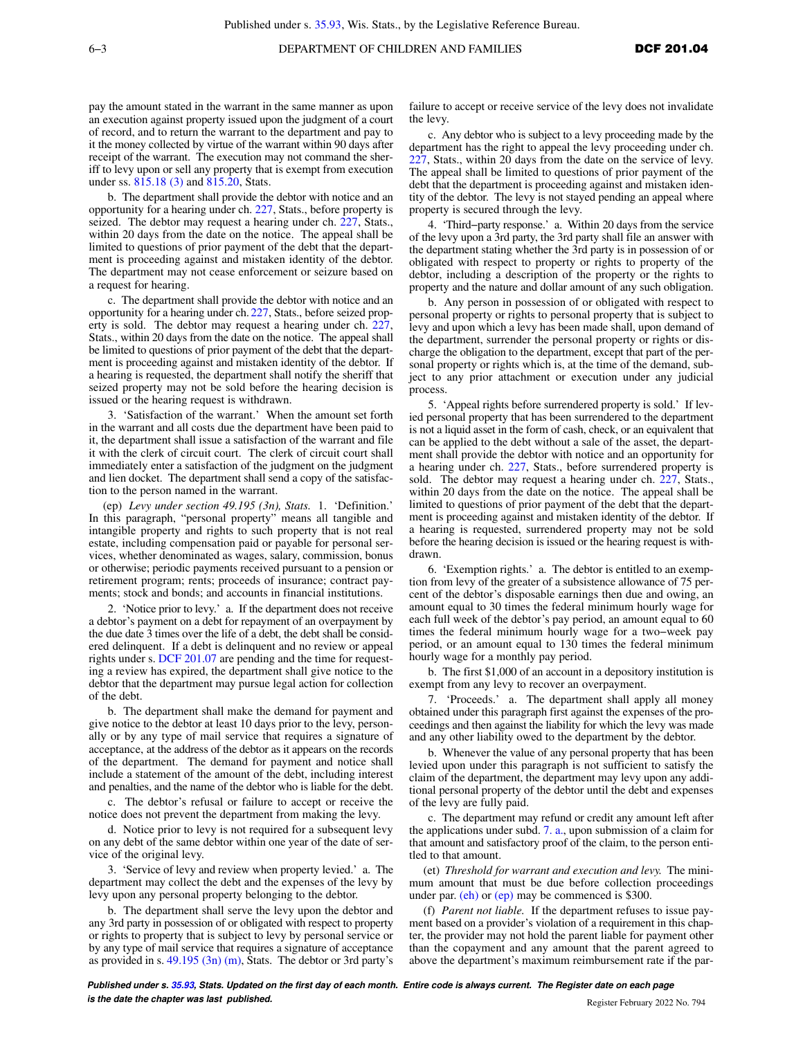pay the amount stated in the warrant in the same manner as upon an execution against property issued upon the judgment of a court of record, and to return the warrant to the department and pay to it the money collected by virtue of the warrant within 90 days after receipt of the warrant. The execution may not command the sheriff to levy upon or sell any property that is exempt from execution under ss. [815.18 \(3\)](https://docs-preview.legis.wisconsin.gov/document/statutes/815.18(3)) and [815.20,](https://docs-preview.legis.wisconsin.gov/document/statutes/815.20) Stats.

b. The department shall provide the debtor with notice and an opportunity for a hearing under ch. [227](https://docs-preview.legis.wisconsin.gov/document/statutes/ch.%20227), Stats., before property is seized. The debtor may request a hearing under ch. [227](https://docs-preview.legis.wisconsin.gov/document/statutes/ch.%20227), Stats., within 20 days from the date on the notice. The appeal shall be limited to questions of prior payment of the debt that the department is proceeding against and mistaken identity of the debtor. The department may not cease enforcement or seizure based on a request for hearing.

c. The department shall provide the debtor with notice and an opportunity for a hearing under ch. [227,](https://docs-preview.legis.wisconsin.gov/document/statutes/ch.%20227) Stats., before seized property is sold. The debtor may request a hearing under ch. [227,](https://docs-preview.legis.wisconsin.gov/document/statutes/ch.%20227) Stats., within 20 days from the date on the notice. The appeal shall be limited to questions of prior payment of the debt that the department is proceeding against and mistaken identity of the debtor. If a hearing is requested, the department shall notify the sheriff that seized property may not be sold before the hearing decision is issued or the hearing request is withdrawn.

3. 'Satisfaction of the warrant.' When the amount set forth in the warrant and all costs due the department have been paid to it, the department shall issue a satisfaction of the warrant and file it with the clerk of circuit court. The clerk of circuit court shall immediately enter a satisfaction of the judgment on the judgment and lien docket. The department shall send a copy of the satisfaction to the person named in the warrant.

(ep) *Levy under section 49.195 (3n), Stats.* 1. 'Definition.' In this paragraph, "personal property" means all tangible and intangible property and rights to such property that is not real estate, including compensation paid or payable for personal services, whether denominated as wages, salary, commission, bonus or otherwise; periodic payments received pursuant to a pension or retirement program; rents; proceeds of insurance; contract payments; stock and bonds; and accounts in financial institutions.

2. 'Notice prior to levy.' a. If the department does not receive a debtor's payment on a debt for repayment of an overpayment by the due date 3 times over the life of a debt, the debt shall be considered delinquent. If a debt is delinquent and no review or appeal rights under s. [DCF 201.07](https://docs-preview.legis.wisconsin.gov/document/administrativecode/DCF%20201.07) are pending and the time for requesting a review has expired, the department shall give notice to the debtor that the department may pursue legal action for collection of the debt.

b. The department shall make the demand for payment and give notice to the debtor at least 10 days prior to the levy, personally or by any type of mail service that requires a signature of acceptance, at the address of the debtor as it appears on the records of the department. The demand for payment and notice shall include a statement of the amount of the debt, including interest and penalties, and the name of the debtor who is liable for the debt.

c. The debtor's refusal or failure to accept or receive the notice does not prevent the department from making the levy.

d. Notice prior to levy is not required for a subsequent levy on any debt of the same debtor within one year of the date of service of the original levy.

3. 'Service of levy and review when property levied.' a. The department may collect the debt and the expenses of the levy by levy upon any personal property belonging to the debtor.

b. The department shall serve the levy upon the debtor and any 3rd party in possession of or obligated with respect to property or rights to property that is subject to levy by personal service or by any type of mail service that requires a signature of acceptance as provided in s. [49.195 \(3n\) \(m\),](https://docs-preview.legis.wisconsin.gov/document/statutes/49.195(3n)(m)) Stats. The debtor or 3rd party's

failure to accept or receive service of the levy does not invalidate the levy.

c. Any debtor who is subject to a levy proceeding made by the department has the right to appeal the levy proceeding under ch. [227,](https://docs-preview.legis.wisconsin.gov/document/statutes/ch.%20227) Stats., within 20 days from the date on the service of levy. The appeal shall be limited to questions of prior payment of the debt that the department is proceeding against and mistaken identity of the debtor. The levy is not stayed pending an appeal where property is secured through the levy.

4. 'Third−party response.' a. Within 20 days from the service of the levy upon a 3rd party, the 3rd party shall file an answer with the department stating whether the 3rd party is in possession of or obligated with respect to property or rights to property of the debtor, including a description of the property or the rights to property and the nature and dollar amount of any such obligation.

b. Any person in possession of or obligated with respect to personal property or rights to personal property that is subject to levy and upon which a levy has been made shall, upon demand of the department, surrender the personal property or rights or discharge the obligation to the department, except that part of the personal property or rights which is, at the time of the demand, subject to any prior attachment or execution under any judicial process.

5. 'Appeal rights before surrendered property is sold.' If levied personal property that has been surrendered to the department is not a liquid asset in the form of cash, check, or an equivalent that can be applied to the debt without a sale of the asset, the department shall provide the debtor with notice and an opportunity for a hearing under ch. [227](https://docs-preview.legis.wisconsin.gov/document/statutes/ch.%20227), Stats., before surrendered property is sold. The debtor may request a hearing under ch. [227,](https://docs-preview.legis.wisconsin.gov/document/statutes/ch.%20227) Stats., within 20 days from the date on the notice. The appeal shall be limited to questions of prior payment of the debt that the department is proceeding against and mistaken identity of the debtor. If a hearing is requested, surrendered property may not be sold before the hearing decision is issued or the hearing request is withdrawn.

6. 'Exemption rights.' a. The debtor is entitled to an exemption from levy of the greater of a subsistence allowance of 75 percent of the debtor's disposable earnings then due and owing, an amount equal to 30 times the federal minimum hourly wage for each full week of the debtor's pay period, an amount equal to 60 times the federal minimum hourly wage for a two−week pay period, or an amount equal to 130 times the federal minimum hourly wage for a monthly pay period.

b. The first \$1,000 of an account in a depository institution is exempt from any levy to recover an overpayment.

7. 'Proceeds.' a. The department shall apply all money obtained under this paragraph first against the expenses of the proceedings and then against the liability for which the levy was made and any other liability owed to the department by the debtor.

b. Whenever the value of any personal property that has been levied upon under this paragraph is not sufficient to satisfy the claim of the department, the department may levy upon any additional personal property of the debtor until the debt and expenses of the levy are fully paid.

c. The department may refund or credit any amount left after the applications under subd. [7. a.,](https://docs-preview.legis.wisconsin.gov/document/administrativecode/DCF%20201.04(5)(ep)7.a.) upon submission of a claim for that amount and satisfactory proof of the claim, to the person entitled to that amount.

(et) *Threshold for warrant and execution and levy.* The minimum amount that must be due before collection proceedings under par. ( $eh$ ) or  $(ep)$  may be commenced is \$300.

(f) *Parent not liable.* If the department refuses to issue payment based on a provider's violation of a requirement in this chapter, the provider may not hold the parent liable for payment other than the copayment and any amount that the parent agreed to above the department's maximum reimbursement rate if the par-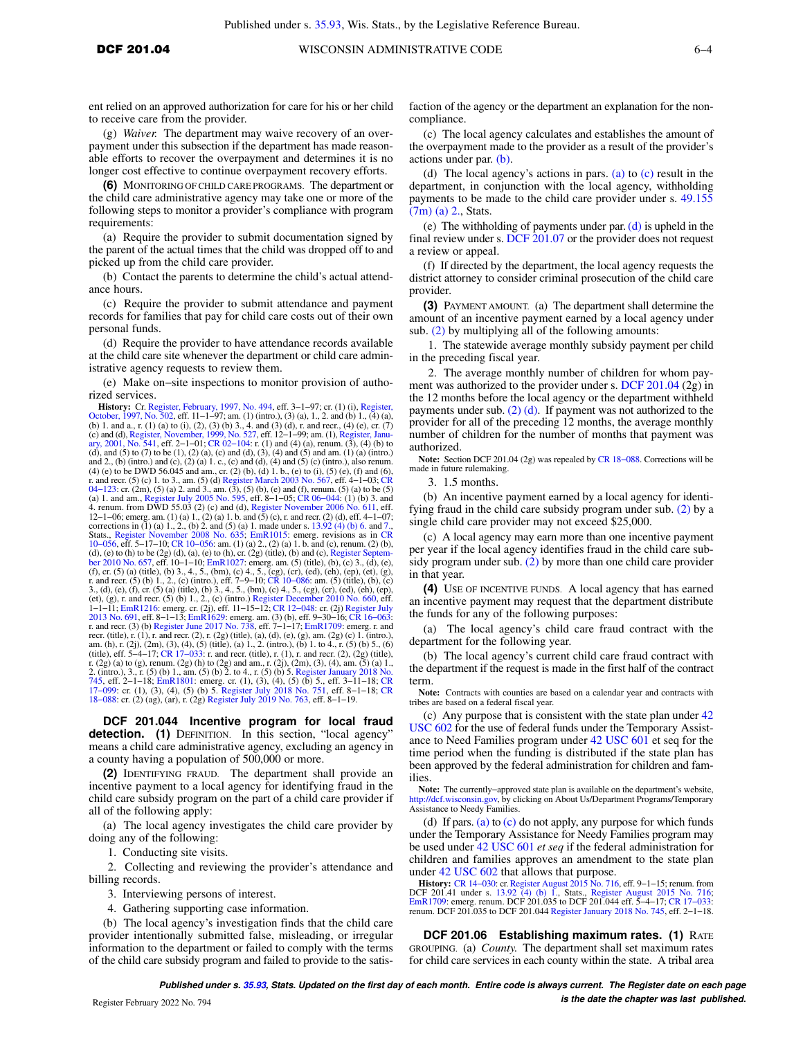ent relied on an approved authorization for care for his or her child to receive care from the provider.

(g) *Waiver.* The department may waive recovery of an overpayment under this subsection if the department has made reasonable efforts to recover the overpayment and determines it is no longer cost effective to continue overpayment recovery efforts.

**(6)** MONITORING OF CHILD CARE PROGRAMS. The department or the child care administrative agency may take one or more of the following steps to monitor a provider's compliance with program requirements:

(a) Require the provider to submit documentation signed by the parent of the actual times that the child was dropped off to and picked up from the child care provider.

(b) Contact the parents to determine the child's actual attendance hours.

(c) Require the provider to submit attendance and payment records for families that pay for child care costs out of their own personal funds.

(d) Require the provider to have attendance records available at the child care site whenever the department or child care administrative agency requests to review them.

(e) Make on−site inspections to monitor provision of authorized services.

**History:** Cr. [Register, February, 1997, No. 494,](https://docs-preview.legis.wisconsin.gov/document/register/494/B/toc) eff. 3–1–97; cr. (1) (i), [Register,](https://docs-preview.legis.wisconsin.gov/document/register/502/B/toc) [October, 1997, No. 502](https://docs-preview.legis.wisconsin.gov/document/register/502/B/toc), eff. 11–1–97; am. (1) (intro.), (3) (a), 1., 2. and (b) 1., (4) (a), (b) 1. and a., r. (1) (a) to (i), (2), (3) (b) 3., 4. and (3) (d), r. and recr., (4) (e), cr. (7)<br>(c) and (d), [Register, November, 1999, No. 527,](https://docs-preview.legis.wisconsin.gov/document/register/527/B/toc) eff. 12–1–99; am. (1), Register, Janu-<br>[ary, 2001, No. 541,](https://docs-preview.legis.wisconsin.gov/document/register/541/B/toc) eff. 2–1–01; CR 0 (d), and (5) to (7) to be (1), (2) (a), (c) and (d), (3), (4) and (5) and am. (1) (a) (intro.) and 2., (b) (intro.) and (c), (2) (a) 1. c., (c) and (d), (4) and (5) (c) (intro.), also renum.<br>(4) (e) to be DWD 56.045 and am., cr. (2) (b), (d) 1. b., (e) to (i), (5) (e), (f) and (6),<br>r. and recr. (5) (c) 1. to 3., am. 4. renum. from DWD 55.03 (2) (c) and (d), [Register November 2006 No. 611,](https://docs-preview.legis.wisconsin.gov/document/register/611/B/toc) eff. 12–1–06; emerg. am. (1) (a) 1,, (2) (a) 1, b. and (5) (c), r. and recr. (2) (d), eff. 4–1–07;<br>corrections in (1) (a) 1, 2,, (b) 2. and (5) (a) 1, made under s. [13.92 \(4\) \(b\) 6.](https://docs-preview.legis.wisconsin.gov/document/statutes/13.92(4)(b)6.) and [7.](https://docs-preview.legis.wisconsin.gov/document/statutes/13.92(4)(b)7.)<br>Stats., Register November 2008 No. 63 1–1–11; [EmR1216](https://docs-preview.legis.wisconsin.gov/document/emergencyrules/EmR1216): emerg. cr. (2j), eff. 11–15–12; CR 12–048: cr. (2j) [Register July](https://docs-preview.legis.wisconsin.gov/document/register/691/B/toc)<br>[2013 No. 691](https://docs-preview.legis.wisconsin.gov/document/register/691/B/toc), eff. 8–1–13; [EmR1629:](https://docs-preview.legis.wisconsin.gov/document/emergencyrules/EmR1629) emerg. am. (3) (b), eff. 9–30–16; CR 16–063:<br>r. and recr. (3) (b) [Register June 2017 No. 738](https://docs-preview.legis.wisconsin.gov/document/register/738/B/toc), eff. 7–1– recr. (title), r. (1), r. and recr. (2), r. (2g) (title), (a), (d), (e), (g), am. (2g) (c) 1. (intro.),<br>am. (h), r. (2j), (2m), (3), (4), (5) (title), (a) 1,, 2. (intro.), (b) 1. to 4., r. (5) (b) 5., (6)<br>(title), eff. 5–4 r. (2g) (a) to (g), renum. (2g) (h) to (2g) and am., r. (2j), (2m), (3), (4), am. (5) (a) 1.,<br>2. (intro.), 3., r. (5) (b) 1., am. (5) (b) 2. to 4., r. (5) (b) 5. [Register January 2018 No.](https://docs-preview.legis.wisconsin.gov/document/register/745/B/toc)<br>[745](https://docs-preview.legis.wisconsin.gov/document/register/745/B/toc), eff. 2–1–18; [EmR1801](https://docs-preview.legis.wisconsin.gov/document/emergencyrules/EmR1801): emerg. [18−088:](https://docs-preview.legis.wisconsin.gov/document/cr/2018/88) cr. (2) (ag), (ar), r. (2g) [Register July 2019 No. 763](https://docs-preview.legis.wisconsin.gov/document/register/763/B/toc), eff. 8−1−19.

**DCF 201.044 Incentive program for local fraud** detection. (1) DEFINITION. In this section, "local agency" means a child care administrative agency, excluding an agency in a county having a population of 500,000 or more.

**(2)** IDENTIFYING FRAUD. The department shall provide an incentive payment to a local agency for identifying fraud in the child care subsidy program on the part of a child care provider if all of the following apply:

(a) The local agency investigates the child care provider by doing any of the following:

1. Conducting site visits.

2. Collecting and reviewing the provider's attendance and billing records.

3. Interviewing persons of interest.

4. Gathering supporting case information.

(b) The local agency's investigation finds that the child care provider intentionally submitted false, misleading, or irregular information to the department or failed to comply with the terms of the child care subsidy program and failed to provide to the satisfaction of the agency or the department an explanation for the noncompliance.

(c) The local agency calculates and establishes the amount of the overpayment made to the provider as a result of the provider's actions under par. [\(b\)](https://docs-preview.legis.wisconsin.gov/document/administrativecode/DCF%20201.044(2)(b)).

(d) The local agency's actions in pars. [\(a\)](https://docs-preview.legis.wisconsin.gov/document/administrativecode/DCF%20201.044(2)(a)) to [\(c\)](https://docs-preview.legis.wisconsin.gov/document/administrativecode/DCF%20201.044(2)(c)) result in the department, in conjunction with the local agency, withholding payments to be made to the child care provider under s. [49.155](https://docs-preview.legis.wisconsin.gov/document/statutes/49.155(7m)(a)2.) [\(7m\) \(a\) 2.](https://docs-preview.legis.wisconsin.gov/document/statutes/49.155(7m)(a)2.), Stats.

(e) The withholding of payments under par. [\(d\)](https://docs-preview.legis.wisconsin.gov/document/administrativecode/DCF%20201.044(2)(d)) is upheld in the final review under s. [DCF 201.07](https://docs-preview.legis.wisconsin.gov/document/administrativecode/DCF%20201.07) or the provider does not request a review or appeal.

(f) If directed by the department, the local agency requests the district attorney to consider criminal prosecution of the child care provider.

**(3)** PAYMENT AMOUNT. (a) The department shall determine the amount of an incentive payment earned by a local agency under sub. [\(2\)](https://docs-preview.legis.wisconsin.gov/document/administrativecode/DCF%20201.044(2)) by multiplying all of the following amounts:

1. The statewide average monthly subsidy payment per child in the preceding fiscal year.

2. The average monthly number of children for whom payment was authorized to the provider under s. [DCF 201.04](https://docs-preview.legis.wisconsin.gov/document/administrativecode/DCF%20201.04) (2g) in the 12 months before the local agency or the department withheld payments under sub.  $(2)$  (d). If payment was not authorized to the provider for all of the preceding 12 months, the average monthly number of children for the number of months that payment was authorized.

**Note:** Section DCF 201.04 (2g) was repealed by [CR 18−088.](https://docs-preview.legis.wisconsin.gov/document/cr/2018/88) Corrections will be made in future rulemaking.

3. 1.5 months.

(b) An incentive payment earned by a local agency for identifying fraud in the child care subsidy program under sub. [\(2\)](https://docs-preview.legis.wisconsin.gov/document/administrativecode/DCF%20201.044(2)) by a single child care provider may not exceed \$25,000.

(c) A local agency may earn more than one incentive payment per year if the local agency identifies fraud in the child care subsidy program under sub. [\(2\)](https://docs-preview.legis.wisconsin.gov/document/administrativecode/DCF%20201.044(2)) by more than one child care provider in that year.

**(4)** USE OF INCENTIVE FUNDS. A local agency that has earned an incentive payment may request that the department distribute the funds for any of the following purposes:

(a) The local agency's child care fraud contract with the department for the following year.

(b) The local agency's current child care fraud contract with the department if the request is made in the first half of the contract term.

**Note:** Contracts with counties are based on a calendar year and contracts with tribes are based on a federal fiscal year.

(c) Any purpose that is consistent with the state plan under [42](https://docs-preview.legis.wisconsin.gov/document/usc/42%20USC%20602) [USC 602](https://docs-preview.legis.wisconsin.gov/document/usc/42%20USC%20602) for the use of federal funds under the Temporary Assistance to Need Families program under [42 USC 601](https://docs-preview.legis.wisconsin.gov/document/usc/42%20USC%20601) et seq for the time period when the funding is distributed if the state plan has been approved by the federal administration for children and families.

Note: The currently–approved state plan is available on the department's website, [http://dcf.wisconsin.gov,](http://dcf.wisconsin.gov) by clicking on About Us/Department Programs/Temporary Assistance to Needy Families.

(d) If pars. [\(a\)](https://docs-preview.legis.wisconsin.gov/document/administrativecode/DCF%20201.044(4)(a)) to  $(c)$  do not apply, any purpose for which funds under the Temporary Assistance for Needy Families program may be used under [42 USC 601](https://docs-preview.legis.wisconsin.gov/document/usc/42%20USC%20601) *et seq* if the federal administration for children and families approves an amendment to the state plan under [42 USC 602](https://docs-preview.legis.wisconsin.gov/document/usc/42%20USC%20602) that allows that purpose.

**History:** [CR 14−030:](https://docs-preview.legis.wisconsin.gov/document/cr/2014/30) cr. [Register August 2015 No. 716](https://docs-preview.legis.wisconsin.gov/document/register/716/B/toc), eff. 9−1−15; renum. from DCF 201.41 under s. [13.92 \(4\) \(b\) 1.](https://docs-preview.legis.wisconsin.gov/document/statutes/13.92(4)(b)1.), Stats., [Register August 2015 No. 716](https://docs-preview.legis.wisconsin.gov/document/register/716/B/toc); [EmR1709](https://docs-preview.legis.wisconsin.gov/document/emergencyrules/EmR1709): emerg. renum. DCF 201.035 to DCF 201.044 eff. 5−4−17; [CR 17−033](https://docs-preview.legis.wisconsin.gov/document/cr/2017/33): renum. DCF 201.035 to DCF 201.044 [Register January 2018 No. 745,](https://docs-preview.legis.wisconsin.gov/document/register/745/B/toc) eff. 2−1−18.

**DCF 201.06 Establishing maximum rates. (1) RATE** GROUPING. (a) *County.* The department shall set maximum rates for child care services in each county within the state. A tribal area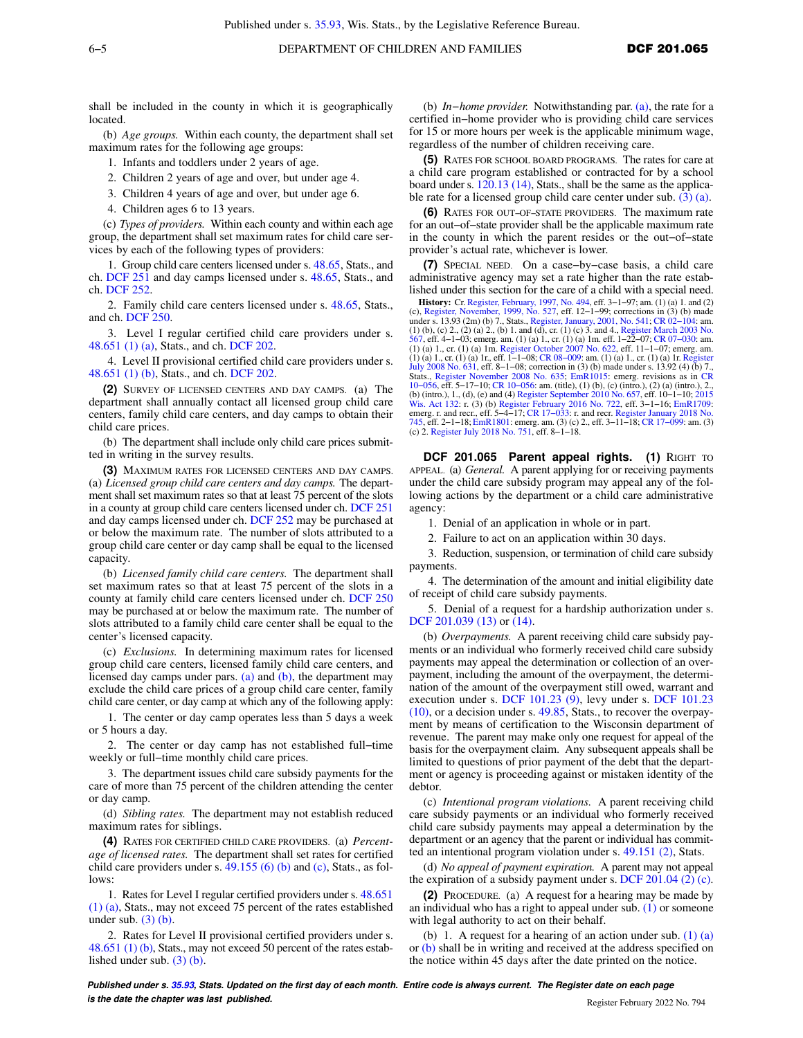shall be included in the county in which it is geographically located.

(b) *Age groups.* Within each county, the department shall set maximum rates for the following age groups:

1. Infants and toddlers under 2 years of age.

2. Children 2 years of age and over, but under age 4.

3. Children 4 years of age and over, but under age 6.

4. Children ages 6 to 13 years.

(c) *Types of providers.* Within each county and within each age group, the department shall set maximum rates for child care services by each of the following types of providers:

1. Group child care centers licensed under s. [48.65,](https://docs-preview.legis.wisconsin.gov/document/statutes/48.65) Stats., and ch. [DCF 251](https://docs-preview.legis.wisconsin.gov/document/administrativecode/ch.%20DCF%20251) and day camps licensed under s. [48.65,](https://docs-preview.legis.wisconsin.gov/document/statutes/48.65) Stats., and ch. [DCF 252](https://docs-preview.legis.wisconsin.gov/document/administrativecode/ch.%20DCF%20252).

2. Family child care centers licensed under s. [48.65](https://docs-preview.legis.wisconsin.gov/document/statutes/48.65), Stats., and ch. [DCF 250.](https://docs-preview.legis.wisconsin.gov/document/administrativecode/ch.%20DCF%20250)

3. Level I regular certified child care providers under s. [48.651 \(1\) \(a\),](https://docs-preview.legis.wisconsin.gov/document/statutes/48.651(1)(a)) Stats., and ch. [DCF 202.](https://docs-preview.legis.wisconsin.gov/document/administrativecode/ch.%20DCF%20202)

4. Level II provisional certified child care providers under s. [48.651 \(1\) \(b\)](https://docs-preview.legis.wisconsin.gov/document/statutes/48.651(1)(b)), Stats., and ch. [DCF 202](https://docs-preview.legis.wisconsin.gov/document/administrativecode/ch.%20DCF%20202).

**(2)** SURVEY OF LICENSED CENTERS AND DAY CAMPS. (a) The department shall annually contact all licensed group child care centers, family child care centers, and day camps to obtain their child care prices.

(b) The department shall include only child care prices submitted in writing in the survey results.

**(3)** MAXIMUM RATES FOR LICENSED CENTERS AND DAY CAMPS. (a) *Licensed group child care centers and day camps.* The department shall set maximum rates so that at least 75 percent of the slots in a county at group child care centers licensed under ch. [DCF 251](https://docs-preview.legis.wisconsin.gov/document/administrativecode/ch.%20DCF%20251) and day camps licensed under ch. [DCF 252](https://docs-preview.legis.wisconsin.gov/document/administrativecode/ch.%20DCF%20252) may be purchased at or below the maximum rate. The number of slots attributed to a group child care center or day camp shall be equal to the licensed capacity.

(b) *Licensed family child care centers.* The department shall set maximum rates so that at least 75 percent of the slots in a county at family child care centers licensed under ch. [DCF 250](https://docs-preview.legis.wisconsin.gov/document/administrativecode/ch.%20DCF%20250) may be purchased at or below the maximum rate. The number of slots attributed to a family child care center shall be equal to the center's licensed capacity.

(c) *Exclusions.* In determining maximum rates for licensed group child care centers, licensed family child care centers, and licensed day camps under pars.  $(a)$  and  $(b)$ , the department may exclude the child care prices of a group child care center, family child care center, or day camp at which any of the following apply:

1. The center or day camp operates less than 5 days a week or 5 hours a day.

2. The center or day camp has not established full−time weekly or full−time monthly child care prices.

3. The department issues child care subsidy payments for the care of more than 75 percent of the children attending the center or day camp.

(d) *Sibling rates.* The department may not establish reduced maximum rates for siblings.

**(4)** RATES FOR CERTIFIED CHILD CARE PROVIDERS. (a) *Percentage of licensed rates.* The department shall set rates for certified child care providers under s.  $49.155(6)$  (b) and [\(c\),](https://docs-preview.legis.wisconsin.gov/document/statutes/49.155(6)(c)) Stats., as follows:

1. Rates for Level I regular certified providers under s. [48.651](https://docs-preview.legis.wisconsin.gov/document/statutes/48.651(1)(a)) [\(1\) \(a\)](https://docs-preview.legis.wisconsin.gov/document/statutes/48.651(1)(a)), Stats., may not exceed 75 percent of the rates established under sub.  $(3)$  (b).

2. Rates for Level II provisional certified providers under s. [48.651 \(1\) \(b\),](https://docs-preview.legis.wisconsin.gov/document/statutes/48.651(1)(b)) Stats., may not exceed 50 percent of the rates established under sub. [\(3\) \(b\).](https://docs-preview.legis.wisconsin.gov/document/administrativecode/DCF%20201.06(3)(b))

(b) *In−home provider.* Notwithstanding par. [\(a\),](https://docs-preview.legis.wisconsin.gov/document/administrativecode/DCF%20201.06(4)(a)) the rate for a certified in−home provider who is providing child care services for 15 or more hours per week is the applicable minimum wage, regardless of the number of children receiving care.

**(5)** RATES FOR SCHOOL BOARD PROGRAMS. The rates for care at a child care program established or contracted for by a school board under s. [120.13 \(14\)](https://docs-preview.legis.wisconsin.gov/document/statutes/120.13(14)), Stats., shall be the same as the applicable rate for a licensed group child care center under sub.  $(3)$  (a).

**(6)** RATES FOR OUT−OF−STATE PROVIDERS. The maximum rate for an out−of−state provider shall be the applicable maximum rate in the county in which the parent resides or the out−of−state provider's actual rate, whichever is lower.

**(7)** SPECIAL NEED. On a case−by−case basis, a child care administrative agency may set a rate higher than the rate established under this section for the care of a child with a special need.

**History:** Cr. [Register, February, 1997, No. 494,](https://docs-preview.legis.wisconsin.gov/document/register/494/B/toc) eff. 3–1–97; am. (1) (a) 1. and (2) (c), [Register, November, 1999, No. 527](https://docs-preview.legis.wisconsin.gov/document/register/527/B/toc), eff. 12–1–99; corrections in (3) (b) made under s. 13.93 (2m) (b) 7., Stats., [Register, January, 2001, No. 541](https://docs-preview.legis.wisconsin.gov/document/register/541/B/toc); CR 02–104: am.<br>(1) (b), (c) 2., (2) (a) 2., (b) 1. and (d), cr. (l) (c) 3. and 4., [Register March 2003 No.](https://docs-preview.legis.wisconsin.gov/document/register/567/B/toc)<br>[567,](https://docs-preview.legis.wisconsin.gov/document/register/567/B/toc) eff. 4–1–03; emerg. am. (1) (a) 1., cr. (1) (a) 1., cr. (1) (a) 1m. [Register October 2007 No. 622,](https://docs-preview.legis.wisconsin.gov/document/register/622/B/toc) eff. 11–1–07; emerg. am.<br>(1) (a) 1., cr. (1) (a) 1r., eff. 1–1–08; CR 08–009: am. (1) (a) 1., cr. (1) (a) 1r. [Register](https://docs-preview.legis.wisconsin.gov/document/register/631/B/toc)<br>[July 2008 No. 631,](https://docs-preview.legis.wisconsin.gov/document/register/631/B/toc) eff. 8–1–08; correction i Stats., [Register November 2008 No. 635;](https://docs-preview.legis.wisconsin.gov/document/register/635/B/toc) [EmR1015:](https://docs-preview.legis.wisconsin.gov/document/emergencyrules/EmR1015) emerg. revisions as in [CR](https://docs-preview.legis.wisconsin.gov/document/cr/2010/56) [10−056](https://docs-preview.legis.wisconsin.gov/document/cr/2010/56), eff. 5−17−10; [CR 10−056:](https://docs-preview.legis.wisconsin.gov/document/cr/2010/56) am. (title), (1) (b), (c) (intro.), (2) (a) (intro.), 2., (b) (intro.), 1., (d), (e) and (4) [Register September 2010 No. 657](https://docs-preview.legis.wisconsin.gov/document/register/657/B/toc), eff. 10–1–10; [2015](https://docs-preview.legis.wisconsin.gov/document/acts/2015/132)<br>[Wis. Act 132:](https://docs-preview.legis.wisconsin.gov/document/acts/2015/132) r. (3) (b) [Register February 2016 No. 722](https://docs-preview.legis.wisconsin.gov/document/register/722/B/toc), eff. 3–1–16; [EmR1709](https://docs-preview.legis.wisconsin.gov/document/emergencyrules/EmR1709):<br>emerg. r. and recr., eff. 5–4–17; CR 17–033: r. and recr [745,](https://docs-preview.legis.wisconsin.gov/document/register/745/B/toc) eff. 2−1−18; [EmR1801](https://docs-preview.legis.wisconsin.gov/document/emergencyrules/EmR1801): emerg. am. (3) (c) 2., eff. 3−11−18; [CR 17−099](https://docs-preview.legis.wisconsin.gov/document/cr/2017/99): am. (3) (c) 2. [Register July 2018 No. 751,](https://docs-preview.legis.wisconsin.gov/document/register/751/B/toc) eff. 8−1−18.

**DCF 201.065 Parent appeal rights. (1) RIGHT TO** APPEAL. (a) *General.* A parent applying for or receiving payments under the child care subsidy program may appeal any of the following actions by the department or a child care administrative agency:

1. Denial of an application in whole or in part.

2. Failure to act on an application within 30 days.

3. Reduction, suspension, or termination of child care subsidy payments.

4. The determination of the amount and initial eligibility date of receipt of child care subsidy payments.

5. Denial of a request for a hardship authorization under s. [DCF 201.039 \(13\)](https://docs-preview.legis.wisconsin.gov/document/administrativecode/DCF%20201.039(13)) or [\(14\).](https://docs-preview.legis.wisconsin.gov/document/administrativecode/DCF%20201.039(14))

(b) *Overpayments.* A parent receiving child care subsidy payments or an individual who formerly received child care subsidy payments may appeal the determination or collection of an overpayment, including the amount of the overpayment, the determination of the amount of the overpayment still owed, warrant and execution under s. [DCF 101.23 \(9\)](https://docs-preview.legis.wisconsin.gov/document/administrativecode/DCF%20101.23(9)), levy under s. [DCF 101.23](https://docs-preview.legis.wisconsin.gov/document/administrativecode/DCF%20101.23(10)) [\(10\)](https://docs-preview.legis.wisconsin.gov/document/administrativecode/DCF%20101.23(10)), or a decision under s. [49.85](https://docs-preview.legis.wisconsin.gov/document/statutes/49.85), Stats., to recover the overpayment by means of certification to the Wisconsin department of revenue. The parent may make only one request for appeal of the basis for the overpayment claim. Any subsequent appeals shall be limited to questions of prior payment of the debt that the department or agency is proceeding against or mistaken identity of the debtor.

(c) *Intentional program violations.* A parent receiving child care subsidy payments or an individual who formerly received child care subsidy payments may appeal a determination by the department or an agency that the parent or individual has committed an intentional program violation under s. [49.151 \(2\)](https://docs-preview.legis.wisconsin.gov/document/statutes/49.151(2)), Stats.

(d) *No appeal of payment expiration.* A parent may not appeal the expiration of a subsidy payment under s. [DCF 201.04 \(2\) \(c\).](https://docs-preview.legis.wisconsin.gov/document/administrativecode/DCF%20201.04(2)(c))

**(2)** PROCEDURE. (a) A request for a hearing may be made by an individual who has a right to appeal under sub. [\(1\)](https://docs-preview.legis.wisconsin.gov/document/administrativecode/DCF%20201.065(1)) or someone with legal authority to act on their behalf.

(b) 1. A request for a hearing of an action under sub.  $(1)$   $(a)$ or [\(b\)](https://docs-preview.legis.wisconsin.gov/document/administrativecode/DCF%20201.065(1)(b)) shall be in writing and received at the address specified on the notice within 45 days after the date printed on the notice.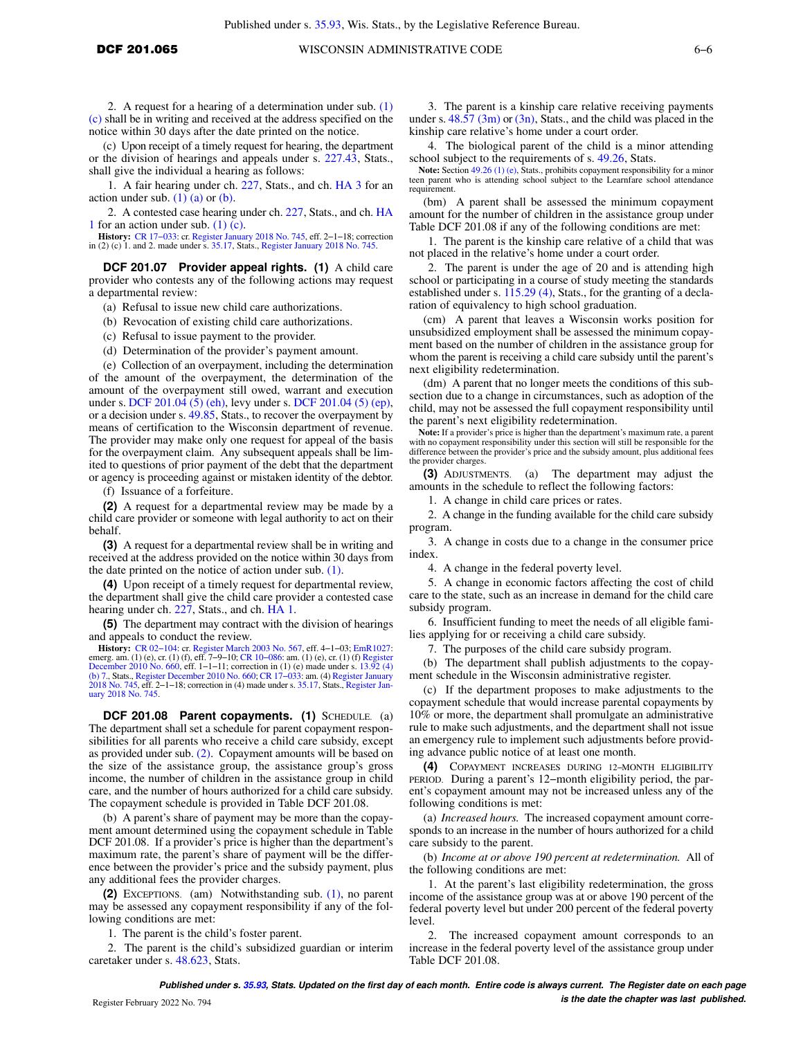2. A request for a hearing of a determination under sub. [\(1\)](https://docs-preview.legis.wisconsin.gov/document/administrativecode/DCF%20201.065(1)(c)) [\(c\)](https://docs-preview.legis.wisconsin.gov/document/administrativecode/DCF%20201.065(1)(c)) shall be in writing and received at the address specified on the notice within 30 days after the date printed on the notice.

(c) Upon receipt of a timely request for hearing, the department or the division of hearings and appeals under s. [227.43,](https://docs-preview.legis.wisconsin.gov/document/statutes/227.43) Stats., shall give the individual a hearing as follows:

1. A fair hearing under ch. [227,](https://docs-preview.legis.wisconsin.gov/document/statutes/ch.%20227) Stats., and ch. [HA 3](https://docs-preview.legis.wisconsin.gov/document/administrativecode/ch.%20HA%203) for an action under sub.  $(1)$   $(a)$  or  $(b)$ .

2. A contested case hearing under ch. [227,](https://docs-preview.legis.wisconsin.gov/document/statutes/ch.%20227) Stats., and ch. [HA](https://docs-preview.legis.wisconsin.gov/document/administrativecode/ch.%20HA%201) [1](https://docs-preview.legis.wisconsin.gov/document/administrativecode/ch.%20HA%201) for an action under sub. [\(1\) \(c\)](https://docs-preview.legis.wisconsin.gov/document/administrativecode/DCF%20201.065(1)(c)).

**History:** CR 17–033: cr. [Register January 2018 No. 745,](https://docs-preview.legis.wisconsin.gov/document/register/745/B/toc) eff. 2–1–18; correction in (2) (c) 1. and 2. made under s. [35.17](https://docs-preview.legis.wisconsin.gov/document/statutes/35.17), Stats., [Register January 2018 No. 745.](https://docs-preview.legis.wisconsin.gov/document/register/745/B/toc)

**DCF 201.07 Provider appeal rights. (1)** A child care provider who contests any of the following actions may request a departmental review:

(a) Refusal to issue new child care authorizations.

(b) Revocation of existing child care authorizations.

(c) Refusal to issue payment to the provider.

(d) Determination of the provider's payment amount.

(e) Collection of an overpayment, including the determination of the amount of the overpayment, the determination of the amount of the overpayment still owed, warrant and execution under s. [DCF 201.04 \(5\) \(eh\),](https://docs-preview.legis.wisconsin.gov/document/administrativecode/DCF%20201.04(5)(eh)) levy under s. [DCF 201.04 \(5\) \(ep\),](https://docs-preview.legis.wisconsin.gov/document/administrativecode/DCF%20201.04(5)(ep)) or a decision under s. [49.85](https://docs-preview.legis.wisconsin.gov/document/statutes/49.85), Stats., to recover the overpayment by means of certification to the Wisconsin department of revenue. The provider may make only one request for appeal of the basis for the overpayment claim. Any subsequent appeals shall be limited to questions of prior payment of the debt that the department or agency is proceeding against or mistaken identity of the debtor.

(f) Issuance of a forfeiture.

**(2)** A request for a departmental review may be made by a child care provider or someone with legal authority to act on their behalf.

**(3)** A request for a departmental review shall be in writing and received at the address provided on the notice within 30 days from the date printed on the notice of action under sub. [\(1\)](https://docs-preview.legis.wisconsin.gov/document/administrativecode/DCF%20201.07(1)).

**(4)** Upon receipt of a timely request for departmental review, the department shall give the child care provider a contested case hearing under ch. [227,](https://docs-preview.legis.wisconsin.gov/document/statutes/ch.%20227) Stats., and ch. [HA 1.](https://docs-preview.legis.wisconsin.gov/document/administrativecode/ch.%20HA%201)

**(5)** The department may contract with the division of hearings and appeals to conduct the review.

**History:** CR 02–104: cr. [Register March 2003 No. 567](https://docs-preview.legis.wisconsin.gov/document/register/567/B/toc), eff. 4–1–03; [EmR1027:](https://docs-preview.legis.wisconsin.gov/document/emergencyrules/EmR1027) emerg. am. (1) (e), cr. (1) (f), eff. 7–9–10; CR 100686: am. (1) (e), cr. (1) (f), eff. 7–9–10; CR 100686: am. (1) (e), cr. (1) (f) [Register](https://docs-preview.legis.wisconsin.gov/document/register/660/B/toc) Dece [\(b\) 7.](https://docs-preview.legis.wisconsin.gov/document/statutes/13.92(4)(b)7.), Stats., [Register December 2010 No. 660](https://docs-preview.legis.wisconsin.gov/document/register/660/B/toc); [CR 17−033:](https://docs-preview.legis.wisconsin.gov/document/cr/2017/33) am. (4) [Register January](https://docs-preview.legis.wisconsin.gov/document/register/745/B/toc) [2018 No. 745,](https://docs-preview.legis.wisconsin.gov/document/register/745/B/toc) eff. 2−1−18; correction in (4) made under s. [35.17,](https://docs-preview.legis.wisconsin.gov/document/statutes/35.17) Stats., [Register Jan](https://docs-preview.legis.wisconsin.gov/document/register/745/B/toc)[uary 2018 No. 745](https://docs-preview.legis.wisconsin.gov/document/register/745/B/toc).

**DCF 201.08 Parent copayments. (1)** SCHEDULE. (a) The department shall set a schedule for parent copayment responsibilities for all parents who receive a child care subsidy, except as provided under sub. [\(2\).](https://docs-preview.legis.wisconsin.gov/document/administrativecode/DCF%20201.08(2)) Copayment amounts will be based on the size of the assistance group, the assistance group's gross income, the number of children in the assistance group in child care, and the number of hours authorized for a child care subsidy. The copayment schedule is provided in Table DCF 201.08.

(b) A parent's share of payment may be more than the copayment amount determined using the copayment schedule in Table DCF 201.08. If a provider's price is higher than the department's maximum rate, the parent's share of payment will be the difference between the provider's price and the subsidy payment, plus any additional fees the provider charges.

**(2)** EXCEPTIONS. (am) Notwithstanding sub. [\(1\),](https://docs-preview.legis.wisconsin.gov/document/administrativecode/DCF%20201.08(1)) no parent may be assessed any copayment responsibility if any of the following conditions are met:

1. The parent is the child's foster parent.

2. The parent is the child's subsidized guardian or interim caretaker under s. [48.623](https://docs-preview.legis.wisconsin.gov/document/statutes/48.623), Stats.

3. The parent is a kinship care relative receiving payments under s.  $48.57 \,(3m)$  or  $(3n)$ , Stats., and the child was placed in the kinship care relative's home under a court order.

4. The biological parent of the child is a minor attending school subject to the requirements of s. [49.26](https://docs-preview.legis.wisconsin.gov/document/statutes/49.26), Stats.

**Note:** Section [49.26 \(1\) \(e\),](https://docs-preview.legis.wisconsin.gov/document/statutes/49.26(1)(e)) Stats., prohibits copayment responsibility for a minor teen parent who is attending school subject to the Learnfare school attendance requirement.

(bm) A parent shall be assessed the minimum copayment amount for the number of children in the assistance group under Table DCF 201.08 if any of the following conditions are met:

1. The parent is the kinship care relative of a child that was not placed in the relative's home under a court order.

2. The parent is under the age of 20 and is attending high school or participating in a course of study meeting the standards established under s. [115.29 \(4\)](https://docs-preview.legis.wisconsin.gov/document/statutes/115.29(4)), Stats., for the granting of a declaration of equivalency to high school graduation.

(cm) A parent that leaves a Wisconsin works position for unsubsidized employment shall be assessed the minimum copayment based on the number of children in the assistance group for whom the parent is receiving a child care subsidy until the parent's next eligibility redetermination.

(dm) A parent that no longer meets the conditions of this subsection due to a change in circumstances, such as adoption of the child, may not be assessed the full copayment responsibility until the parent's next eligibility redetermination.

**Note:** If a provider's price is higher than the department's maximum rate, a parent with no copayment responsibility under this section will still be responsible for the difference between the provider's price and the subsidy amount, plus additional fees the provider charges.

**(3)** ADJUSTMENTS. (a) The department may adjust the amounts in the schedule to reflect the following factors:

1. A change in child care prices or rates.

2. A change in the funding available for the child care subsidy program.

3. A change in costs due to a change in the consumer price index.

4. A change in the federal poverty level.

5. A change in economic factors affecting the cost of child care to the state, such as an increase in demand for the child care subsidy program.

6. Insufficient funding to meet the needs of all eligible families applying for or receiving a child care subsidy.

7. The purposes of the child care subsidy program.

(b) The department shall publish adjustments to the copayment schedule in the Wisconsin administrative register.

(c) If the department proposes to make adjustments to the copayment schedule that would increase parental copayments by 10% or more, the department shall promulgate an administrative rule to make such adjustments, and the department shall not issue an emergency rule to implement such adjustments before providing advance public notice of at least one month.

**(4)** COPAYMENT INCREASES DURING 12−MONTH ELIGIBILITY PERIOD. During a parent's 12−month eligibility period, the parent's copayment amount may not be increased unless any of the following conditions is met:

(a) *Increased hours.* The increased copayment amount corresponds to an increase in the number of hours authorized for a child care subsidy to the parent.

(b) *Income at or above 190 percent at redetermination.* All of the following conditions are met:

1. At the parent's last eligibility redetermination, the gross income of the assistance group was at or above 190 percent of the federal poverty level but under 200 percent of the federal poverty level.

2. The increased copayment amount corresponds to an increase in the federal poverty level of the assistance group under Table DCF 201.08.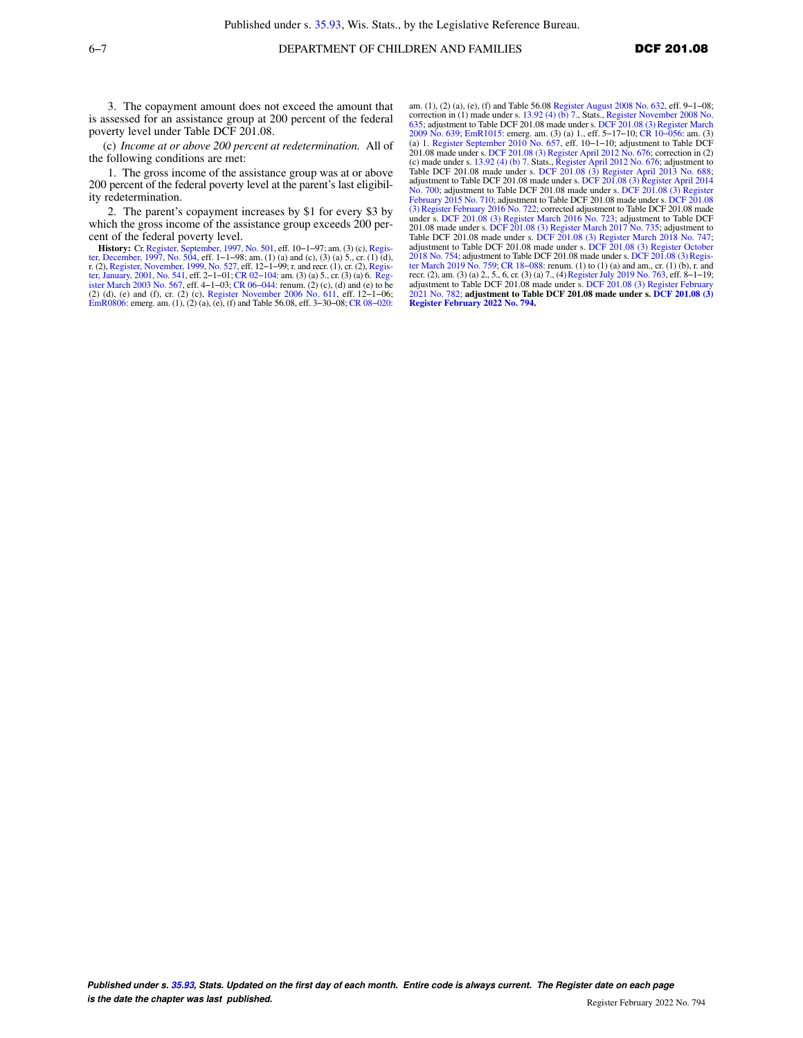3. The copayment amount does not exceed the amount that is assessed for an assistance group at 200 percent of the federal poverty level under Table DCF 201.08.

(c) *Income at or above 200 percent at redetermination.* All of the following conditions are met:

1. The gross income of the assistance group was at or above 200 percent of the federal poverty level at the parent's last eligibility redetermination.

2. The parent's copayment increases by \$1 for every \$3 by which the gross income of the assistance group exceeds 200 percent of the federal poverty level.

**History:** Cr. [Register, September, 1997, No. 501,](https://docs-preview.legis.wisconsin.gov/document/register/501/B/toc) eff. 10–1–97; am. (3) (c), Regis[ter, December, 1997, No. 504](https://docs-preview.legis.wisconsin.gov/document/register/504/B/toc), eff. 10–1–97; am. (3) (c), Register, December, 1997, No. 504, eff. 1–1–98; am. (1) (a) and (c), (3) and (c), [ter, January, 2001, No. 541](https://docs-preview.legis.wisconsin.gov/document/register/541/B/toc), eff. 2–1–01; CR 02–104: am. (3) (a) 5., cr. (3) (a) 6. Reg-<br>[ister March 2003 No. 567](https://docs-preview.legis.wisconsin.gov/document/register/567/B/toc), eff. 4–1–03; CR 06–044: renum. (2) (c), (d) and (e) to be<br>(2) (d), (e) and (f), cr. (2) (c), Register Novem [EmR0806](https://docs-preview.legis.wisconsin.gov/document/emergencyrules/EmR0806): emerg. am. (1), (2) (a), (e), (f) and Table 56.08, eff. 3−30−08; [CR 08−020:](https://docs-preview.legis.wisconsin.gov/document/cr/2008/20)

am. (1), (2) (a), (e), (f) and Table 56.08 [Register August 2008 No. 632,](https://docs-preview.legis.wisconsin.gov/document/register/632/B/toc) eff. 9−1−08; correction in (1) made under s. [13.92 \(4\) \(b\) 7.,](https://docs-preview.legis.wisconsin.gov/document/statutes/13.92(4)(b)7.) Stats., [Register November 2008 No.](https://docs-preview.legis.wisconsin.gov/document/register/635/B/toc) [635;](https://docs-preview.legis.wisconsin.gov/document/register/635/B/toc) adjustment to Table DCF 201.08 made under s. [DCF 201.08 \(3\)](https://docs-preview.legis.wisconsin.gov/document/administrativecode/DCF%20201.08(3)) [Register March](https://docs-preview.legis.wisconsin.gov/document/register/639/B/toc) [2009 No. 639;](https://docs-preview.legis.wisconsin.gov/document/register/639/B/toc) [EmR1015:](https://docs-preview.legis.wisconsin.gov/document/emergencyrules/EmR1015) emerg. am. (3) (a) 1., eff. 5–17–10; CR 10–056: am. (3)<br>(a) 1. [Register September 2010 No. 657](https://docs-preview.legis.wisconsin.gov/document/register/657/B/toc), eff. 10–1–10; adjustment to Table DCF<br>201.08 made under s. [DCF 201.08 \(3\)](https://docs-preview.legis.wisconsin.gov/document/administrativecode/DCF%20201.08(3)) [Register April 2012 No. 676](https://docs-preview.legis.wisconsin.gov/document/register/676/B/toc); (c) made under s. [13.92 \(4\) \(b\) 7.](https://docs-preview.legis.wisconsin.gov/document/statutes/13.92(4)(b)7.) Stats., [Register April 2012 No. 676](https://docs-preview.legis.wisconsin.gov/document/register/676/B/toc); adjustment to Table DCF 201.08 made under s. [DCF 201.08 \(3\)](https://docs-preview.legis.wisconsin.gov/document/administrativecode/DCF%20201.08(3)) [Register April 2013 No. 688](https://docs-preview.legis.wisconsin.gov/document/register/688/B/toc); adjustment to Table DCF 201.08 made under s. [DCF 201.08 \(3\)](https://docs-preview.legis.wisconsin.gov/document/administrativecode/DCF%20201.08(3)) [Register April 2014](https://docs-preview.legis.wisconsin.gov/document/register/700/B/toc) [No. 700;](https://docs-preview.legis.wisconsin.gov/document/register/700/B/toc) adjustment to Table DCF 201.08 made under s. [DCF 201.08 \(3\)](https://docs-preview.legis.wisconsin.gov/document/administrativecode/DCF%20201.08(3)) [Register](https://docs-preview.legis.wisconsin.gov/document/register/710/B/toc) [February 2015 No. 710](https://docs-preview.legis.wisconsin.gov/document/register/710/B/toc); adjustment to Table [DCF 201.08](https://docs-preview.legis.wisconsin.gov/document/administrativecode/DCF%20201.08(3)) made under s. DCF 201.08 [\(3\)](https://docs-preview.legis.wisconsin.gov/document/administrativecode/DCF%20201.08(3)) [Register February 2016 No. 722](https://docs-preview.legis.wisconsin.gov/document/register/722/B/toc); corrected adjustment to Table DCF 201.08 made<br>under s. [DCF 201.08 \(3\)](https://docs-preview.legis.wisconsin.gov/document/administrativecode/DCF%20201.08(3)) [Register March 2016 No. 723;](https://docs-preview.legis.wisconsin.gov/document/register/723/B/toc) adjustment to Table DCF 201.08 made under s. [DCF 201.08 \(3\)](https://docs-preview.legis.wisconsin.gov/document/administrativecode/DCF%20201.08(3)) [Register March 2017 No. 735;](https://docs-preview.legis.wisconsin.gov/document/register/735/B/toc) adjustment to Table DCF 201.08 made under s. [DCF 201.08 \(3\)](https://docs-preview.legis.wisconsin.gov/document/administrativecode/DCF%20201.08(3)) [Register March 2018 No. 747](https://docs-preview.legis.wisconsin.gov/document/register/747/B/toc); adjustment to Table DCF 201.08 made under s. [DCF 201.08 \(3\)](https://docs-preview.legis.wisconsin.gov/document/administrativecode/DCF%20201.08(3)) [Register October](https://docs-preview.legis.wisconsin.gov/document/register/754/B/toc) [2018 No. 754](https://docs-preview.legis.wisconsin.gov/document/register/754/B/toc); adjustment to Table DCF 201.08 made under s. [DCF 201.08 \(3\)](https://docs-preview.legis.wisconsin.gov/document/administrativecode/DCF%20201.08(3)) [Regis](https://docs-preview.legis.wisconsin.gov/document/register/759/B/toc)[ter March 2019 No. 759;](https://docs-preview.legis.wisconsin.gov/document/register/759/B/toc) [CR 18−088](https://docs-preview.legis.wisconsin.gov/document/cr/2018/88): renum. (1) to (1) (a) and am., cr. (1) (b), r. and recr. (2), am. (3) (a) 2., 5., 6, cr. (3) (a) 7., (4) [Register July 2019 No. 763,](https://docs-preview.legis.wisconsin.gov/document/register/763/B/toc) eff. 8–1–19;<br>adjustment to Table DCF 201.08 made under s. [DCF 201.08 \(3\)](https://docs-preview.legis.wisconsin.gov/document/administrativecode/DCF%20201.08(3)) [Register February](https://docs-preview.legis.wisconsin.gov/document/register/782/B/toc) [2021 No. 782;](https://docs-preview.legis.wisconsin.gov/document/register/782/B/toc) **adjustment to Table DCF 201.08 made under s. [DCF 201.08 \(3\)](https://docs-preview.legis.wisconsin.gov/document/administrativecode/DCF%20201.08(3)) [Register February 2022 No. 794](https://docs-preview.legis.wisconsin.gov/document/register/794/B/toc).**